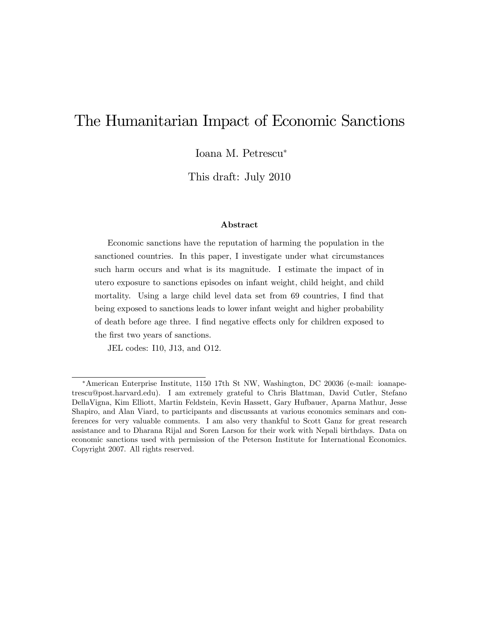# The Humanitarian Impact of Economic Sanctions

Ioana M. Petrescu

This draft: July 2010

#### Abstract

Economic sanctions have the reputation of harming the population in the sanctioned countries. In this paper, I investigate under what circumstances such harm occurs and what is its magnitude. I estimate the impact of in utero exposure to sanctions episodes on infant weight, child height, and child mortality. Using a large child level data set from 69 countries, I find that being exposed to sanctions leads to lower infant weight and higher probability of death before age three. I find negative effects only for children exposed to the first two years of sanctions.

JEL codes: I10, J13, and O12.

American Enterprise Institute, 1150 17th St NW, Washington, DC 20036 (e-mail: ioanapetrescu@post.harvard.edu). I am extremely grateful to Chris Blattman, David Cutler, Stefano DellaVigna, Kim Elliott, Martin Feldstein, Kevin Hassett, Gary Hufbauer, Aparna Mathur, Jesse Shapiro, and Alan Viard, to participants and discussants at various economics seminars and conferences for very valuable comments. I am also very thankful to Scott Ganz for great research assistance and to Dharana Rijal and Soren Larson for their work with Nepali birthdays. Data on economic sanctions used with permission of the Peterson Institute for International Economics. Copyright 2007. All rights reserved.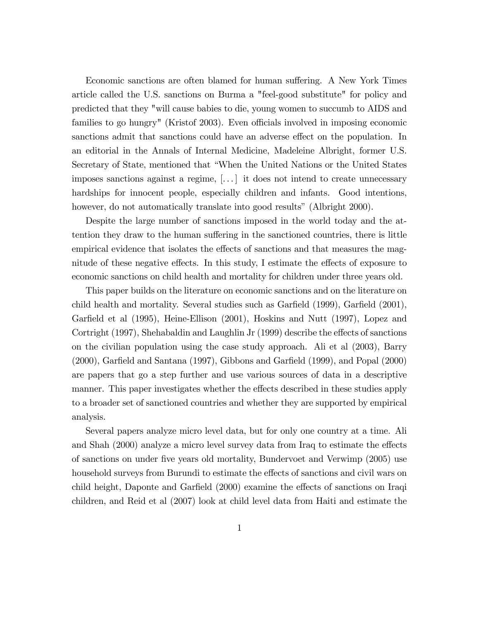Economic sanctions are often blamed for human suffering. A New York Times article called the U.S. sanctions on Burma a "feel-good substitute" for policy and predicted that they "will cause babies to die, young women to succumb to AIDS and families to go hungry" (Kristof 2003). Even officials involved in imposing economic sanctions admit that sanctions could have an adverse effect on the population. In an editorial in the Annals of Internal Medicine, Madeleine Albright, former U.S. Secretary of State, mentioned that "When the United Nations or the United States" imposes sanctions against a regime, [. . . ] it does not intend to create unnecessary hardships for innocent people, especially children and infants. Good intentions, however, do not automatically translate into good results" (Albright 2000).

Despite the large number of sanctions imposed in the world today and the attention they draw to the human suffering in the sanctioned countries, there is little empirical evidence that isolates the effects of sanctions and that measures the magnitude of these negative effects. In this study, I estimate the effects of exposure to economic sanctions on child health and mortality for children under three years old.

This paper builds on the literature on economic sanctions and on the literature on child health and mortality. Several studies such as Garfield  $(1999)$ , Garfield  $(2001)$ , Garfield et al (1995), Heine-Ellison (2001), Hoskins and Nutt (1997), Lopez and Cortright  $(1997)$ , Shehabaldin and Laughlin Jr  $(1999)$  describe the effects of sanctions on the civilian population using the case study approach. Ali et al (2003), Barry  $(2000)$ , Garfield and Santana  $(1997)$ , Gibbons and Garfield  $(1999)$ , and Popal  $(2000)$ are papers that go a step further and use various sources of data in a descriptive manner. This paper investigates whether the effects described in these studies apply to a broader set of sanctioned countries and whether they are supported by empirical analysis.

Several papers analyze micro level data, but for only one country at a time. Ali and Shah  $(2000)$  analyze a micro level survey data from Iraq to estimate the effects of sanctions on under Öve years old mortality, Bundervoet and Verwimp (2005) use household surveys from Burundi to estimate the effects of sanctions and civil wars on child height, Daponte and Garfield (2000) examine the effects of sanctions on Iraqi children, and Reid et al (2007) look at child level data from Haiti and estimate the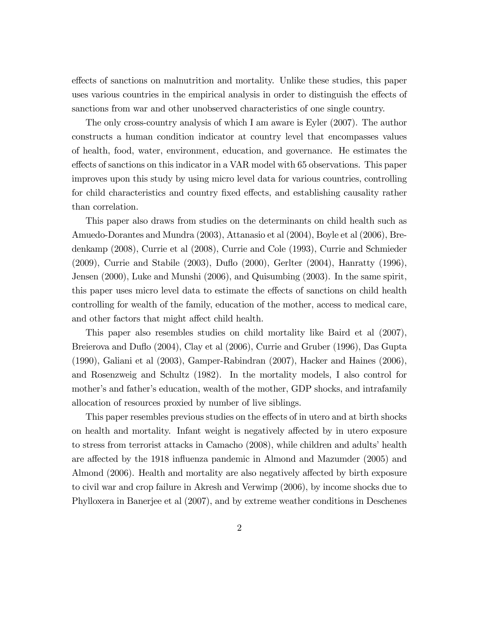effects of sanctions on malnutrition and mortality. Unlike these studies, this paper uses various countries in the empirical analysis in order to distinguish the effects of sanctions from war and other unobserved characteristics of one single country.

The only cross-country analysis of which I am aware is Eyler (2007). The author constructs a human condition indicator at country level that encompasses values of health, food, water, environment, education, and governance. He estimates the effects of sanctions on this indicator in a VAR model with 65 observations. This paper improves upon this study by using micro level data for various countries, controlling for child characteristics and country fixed effects, and establishing causality rather than correlation.

This paper also draws from studies on the determinants on child health such as Amuedo-Dorantes and Mundra (2003), Attanasio et al (2004), Boyle et al (2006), Bredenkamp (2008), Currie et al (2008), Currie and Cole (1993), Currie and Schmieder (2009), Currie and Stabile (2003), Duflo (2000), Gerlter (2004), Hanratty (1996), Jensen (2000), Luke and Munshi (2006), and Quisumbing (2003). In the same spirit, this paper uses micro level data to estimate the effects of sanctions on child health controlling for wealth of the family, education of the mother, access to medical care, and other factors that might affect child health.

This paper also resembles studies on child mortality like Baird et al (2007), Breierova and Duflo (2004), Clay et al (2006), Currie and Gruber (1996), Das Gupta (1990), Galiani et al (2003), Gamper-Rabindran (2007), Hacker and Haines (2006), and Rosenzweig and Schultz (1982). In the mortality models, I also control for mother's and father's education, wealth of the mother, GDP shocks, and intrafamily allocation of resources proxied by number of live siblings.

This paper resembles previous studies on the effects of in utero and at birth shocks on health and mortality. Infant weight is negatively affected by in utero exposure to stress from terrorist attacks in Camacho (2008), while children and adults' health are affected by the 1918 influenza pandemic in Almond and Mazumder (2005) and Almond (2006). Health and mortality are also negatively affected by birth exposure to civil war and crop failure in Akresh and Verwimp (2006), by income shocks due to Phylloxera in Banerjee et al (2007), and by extreme weather conditions in Deschenes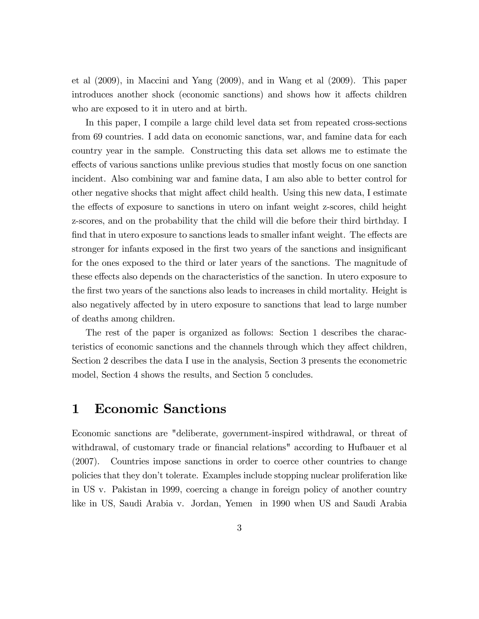et al (2009), in Maccini and Yang (2009), and in Wang et al (2009). This paper introduces another shock (economic sanctions) and shows how it affects children who are exposed to it in utero and at birth.

In this paper, I compile a large child level data set from repeated cross-sections from 69 countries. I add data on economic sanctions, war, and famine data for each country year in the sample. Constructing this data set allows me to estimate the effects of various sanctions unlike previous studies that mostly focus on one sanction incident. Also combining war and famine data, I am also able to better control for other negative shocks that might affect child health. Using this new data, I estimate the effects of exposure to sanctions in utero on infant weight z-scores, child height z-scores, and on the probability that the child will die before their third birthday. I find that in utero exposure to sanctions leads to smaller infant weight. The effects are stronger for infants exposed in the first two years of the sanctions and insignificant for the ones exposed to the third or later years of the sanctions. The magnitude of these effects also depends on the characteristics of the sanction. In utero exposure to the first two years of the sanctions also leads to increases in child mortality. Height is also negatively affected by in utero exposure to sanctions that lead to large number of deaths among children.

The rest of the paper is organized as follows: Section 1 describes the characteristics of economic sanctions and the channels through which they affect children, Section 2 describes the data I use in the analysis, Section 3 presents the econometric model, Section 4 shows the results, and Section 5 concludes.

## 1 Economic Sanctions

Economic sanctions are "deliberate, government-inspired withdrawal, or threat of withdrawal, of customary trade or financial relations" according to Hufbauer et al (2007). Countries impose sanctions in order to coerce other countries to change policies that they donít tolerate. Examples include stopping nuclear proliferation like in US v. Pakistan in 1999, coercing a change in foreign policy of another country like in US, Saudi Arabia v. Jordan, Yemen in 1990 when US and Saudi Arabia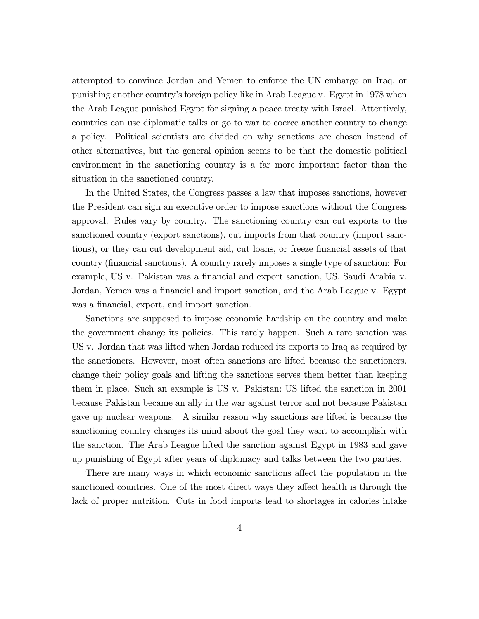attempted to convince Jordan and Yemen to enforce the UN embargo on Iraq, or punishing another countryís foreign policy like in Arab League v. Egypt in 1978 when the Arab League punished Egypt for signing a peace treaty with Israel. Attentively, countries can use diplomatic talks or go to war to coerce another country to change a policy. Political scientists are divided on why sanctions are chosen instead of other alternatives, but the general opinion seems to be that the domestic political environment in the sanctioning country is a far more important factor than the situation in the sanctioned country.

In the United States, the Congress passes a law that imposes sanctions, however the President can sign an executive order to impose sanctions without the Congress approval. Rules vary by country. The sanctioning country can cut exports to the sanctioned country (export sanctions), cut imports from that country (import sanctions), or they can cut development aid, cut loans, or freeze financial assets of that country (Önancial sanctions). A country rarely imposes a single type of sanction: For example, US v. Pakistan was a financial and export sanction, US, Saudi Arabia v. Jordan, Yemen was a financial and import sanction, and the Arab League v. Egypt was a financial, export, and import sanction.

Sanctions are supposed to impose economic hardship on the country and make the government change its policies. This rarely happen. Such a rare sanction was US v. Jordan that was lifted when Jordan reduced its exports to Iraq as required by the sanctioners. However, most often sanctions are lifted because the sanctioners. change their policy goals and lifting the sanctions serves them better than keeping them in place. Such an example is US v. Pakistan: US lifted the sanction in 2001 because Pakistan became an ally in the war against terror and not because Pakistan gave up nuclear weapons. A similar reason why sanctions are lifted is because the sanctioning country changes its mind about the goal they want to accomplish with the sanction. The Arab League lifted the sanction against Egypt in 1983 and gave up punishing of Egypt after years of diplomacy and talks between the two parties.

There are many ways in which economic sanctions affect the population in the sanctioned countries. One of the most direct ways they affect health is through the lack of proper nutrition. Cuts in food imports lead to shortages in calories intake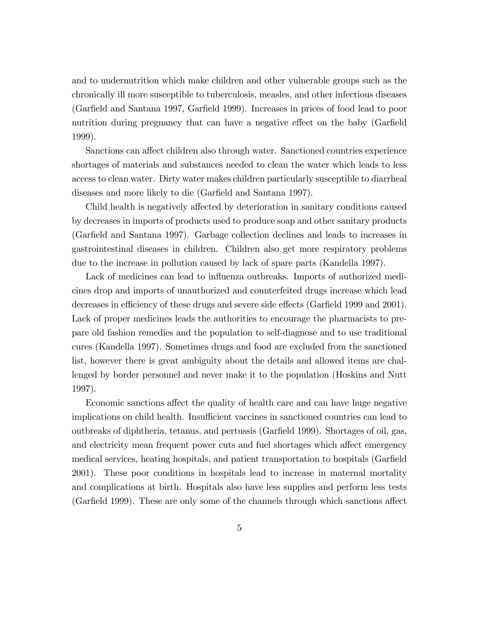and to undernutrition which make children and other vulnerable groups such as the chronically ill more susceptible to tuberculosis, measles, and other infectious diseases (Garfield and Santana 1997, Garfield 1999). Increases in prices of food lead to poor nutrition during pregnancy that can have a negative effect on the baby (Garfield 1999).

Sanctions can affect children also through water. Sanctioned countries experience shortages of materials and substances needed to clean the water which leads to less access to clean water. Dirty water makes children particularly susceptible to diarrheal diseases and more likely to die (Garfield and Santana 1997).

Child health is negatively affected by deterioration in sanitary conditions caused by decreases in imports of products used to produce soap and other sanitary products (Garfield and Santana 1997). Garbage collection declines and leads to increases in gastrointestinal diseases in children. Children also get more respiratory problems due to the increase in pollution caused by lack of spare parts (Kandella 1997).

Lack of medicines can lead to influenza outbreaks. Imports of authorized medicines drop and imports of unauthorized and counterfeited drugs increase which lead decreases in efficiency of these drugs and severe side effects (Garfield 1999 and 2001). Lack of proper medicines leads the authorities to encourage the pharmacists to prepare old fashion remedies and the population to self-diagnose and to use traditional cures (Kandella 1997). Sometimes drugs and food are excluded from the sanctioned list, however there is great ambiguity about the details and allowed items are challenged by border personnel and never make it to the population (Hoskins and Nutt 1997).

Economic sanctions affect the quality of health care and can have huge negative implications on child health. Insufficient vaccines in sanctioned countries can lead to outbreaks of diphtheria, tetanus, and pertussis (Garfield 1999). Shortages of oil, gas, and electricity mean frequent power cuts and fuel shortages which affect emergency medical services, heating hospitals, and patient transportation to hospitals (Garfield 2001). These poor conditions in hospitals lead to increase in maternal mortality and complications at birth. Hospitals also have less supplies and perform less tests (Garfield 1999). These are only some of the channels through which sanctions affect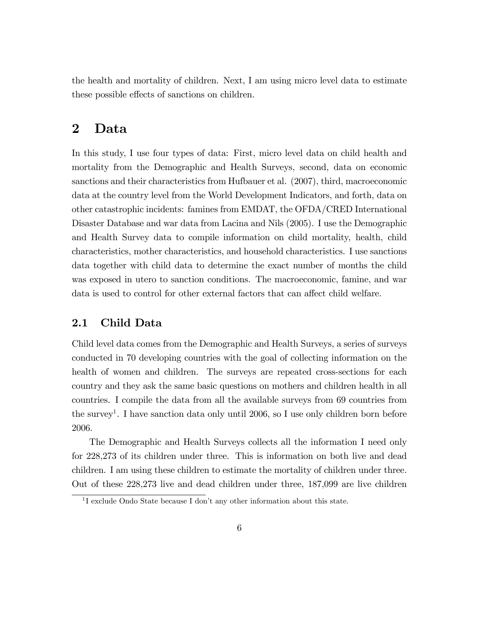the health and mortality of children. Next, I am using micro level data to estimate these possible effects of sanctions on children.

### 2 Data

In this study, I use four types of data: First, micro level data on child health and mortality from the Demographic and Health Surveys, second, data on economic sanctions and their characteristics from Hufbauer et al. (2007), third, macroeconomic data at the country level from the World Development Indicators, and forth, data on other catastrophic incidents: famines from EMDAT, the OFDA/CRED International Disaster Database and war data from Lacina and Nils (2005). I use the Demographic and Health Survey data to compile information on child mortality, health, child characteristics, mother characteristics, and household characteristics. I use sanctions data together with child data to determine the exact number of months the child was exposed in utero to sanction conditions. The macroeconomic, famine, and war data is used to control for other external factors that can affect child welfare.

### 2.1 Child Data

Child level data comes from the Demographic and Health Surveys, a series of surveys conducted in 70 developing countries with the goal of collecting information on the health of women and children. The surveys are repeated cross-sections for each country and they ask the same basic questions on mothers and children health in all countries. I compile the data from all the available surveys from 69 countries from the survey<sup>1</sup>. I have sanction data only until 2006, so I use only children born before 2006.

The Demographic and Health Surveys collects all the information I need only for 228,273 of its children under three. This is information on both live and dead children. I am using these children to estimate the mortality of children under three. Out of these 228,273 live and dead children under three, 187,099 are live children

<sup>&</sup>lt;sup>1</sup>I exclude Ondo State because I don't any other information about this state.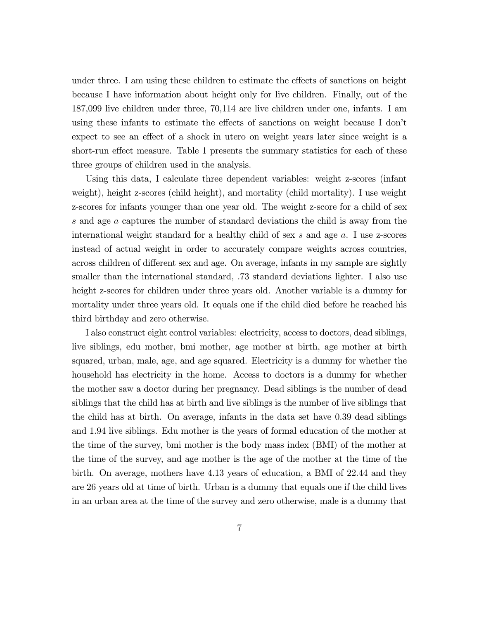under three. I am using these children to estimate the effects of sanctions on height because I have information about height only for live children. Finally, out of the 187,099 live children under three, 70,114 are live children under one, infants. I am using these infants to estimate the effects of sanctions on weight because I don't expect to see an effect of a shock in utero on weight years later since weight is a short-run effect measure. Table 1 presents the summary statistics for each of these three groups of children used in the analysis.

Using this data, I calculate three dependent variables: weight z-scores (infant weight), height z-scores (child height), and mortality (child mortality). I use weight z-scores for infants younger than one year old. The weight z-score for a child of sex s and age a captures the number of standard deviations the child is away from the international weight standard for a healthy child of sex s and age a. I use z-scores instead of actual weight in order to accurately compare weights across countries, across children of different sex and age. On average, infants in my sample are sightly smaller than the international standard, .73 standard deviations lighter. I also use height z-scores for children under three years old. Another variable is a dummy for mortality under three years old. It equals one if the child died before he reached his third birthday and zero otherwise.

I also construct eight control variables: electricity, access to doctors, dead siblings, live siblings, edu mother, bmi mother, age mother at birth, age mother at birth squared, urban, male, age, and age squared. Electricity is a dummy for whether the household has electricity in the home. Access to doctors is a dummy for whether the mother saw a doctor during her pregnancy. Dead siblings is the number of dead siblings that the child has at birth and live siblings is the number of live siblings that the child has at birth. On average, infants in the data set have 0.39 dead siblings and 1.94 live siblings. Edu mother is the years of formal education of the mother at the time of the survey, bmi mother is the body mass index (BMI) of the mother at the time of the survey, and age mother is the age of the mother at the time of the birth. On average, mothers have 4.13 years of education, a BMI of 22.44 and they are 26 years old at time of birth. Urban is a dummy that equals one if the child lives in an urban area at the time of the survey and zero otherwise, male is a dummy that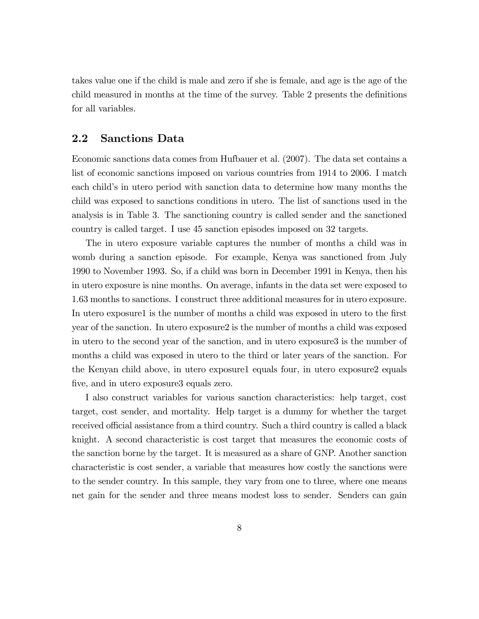takes value one if the child is male and zero if she is female, and age is the age of the child measured in months at the time of the survey. Table 2 presents the definitions for all variables.

#### 2.2 Sanctions Data

Economic sanctions data comes from Hufbauer et al. (2007). The data set contains a list of economic sanctions imposed on various countries from 1914 to 2006. I match each child's in utero period with sanction data to determine how many months the child was exposed to sanctions conditions in utero. The list of sanctions used in the analysis is in Table 3. The sanctioning country is called sender and the sanctioned country is called target. I use 45 sanction episodes imposed on 32 targets.

The in utero exposure variable captures the number of months a child was in womb during a sanction episode. For example, Kenya was sanctioned from July 1990 to November 1993. So, if a child was born in December 1991 in Kenya, then his in utero exposure is nine months. On average, infants in the data set were exposed to 1.63 months to sanctions. I construct three additional measures for in utero exposure. In utero exposure1 is the number of months a child was exposed in utero to the first year of the sanction. In utero exposure2 is the number of months a child was exposed in utero to the second year of the sanction, and in utero exposure3 is the number of months a child was exposed in utero to the third or later years of the sanction. For the Kenyan child above, in utero exposure1 equals four, in utero exposure2 equals five, and in utero exposure3 equals zero.

I also construct variables for various sanction characteristics: help target, cost target, cost sender, and mortality. Help target is a dummy for whether the target received official assistance from a third country. Such a third country is called a black knight. A second characteristic is cost target that measures the economic costs of the sanction borne by the target. It is measured as a share of GNP. Another sanction characteristic is cost sender, a variable that measures how costly the sanctions were to the sender country. In this sample, they vary from one to three, where one means net gain for the sender and three means modest loss to sender. Senders can gain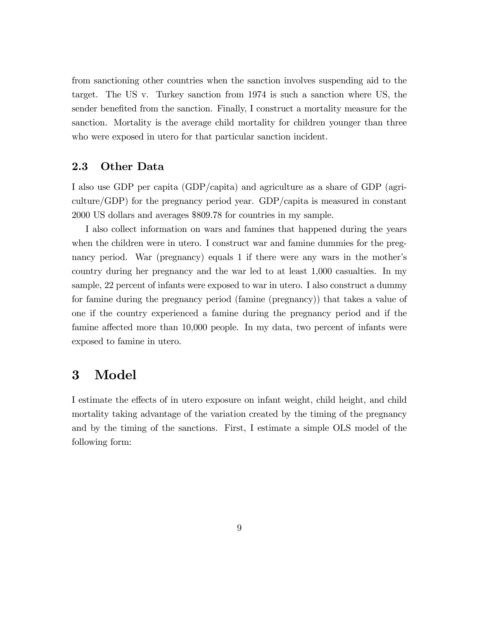from sanctioning other countries when the sanction involves suspending aid to the target. The US v. Turkey sanction from 1974 is such a sanction where US, the sender benefited from the sanction. Finally, I construct a mortality measure for the sanction. Mortality is the average child mortality for children younger than three who were exposed in utero for that particular sanction incident.

#### 2.3 Other Data

I also use GDP per capita (GDP/capita) and agriculture as a share of GDP (agriculture/GDP) for the pregnancy period year. GDP/capita is measured in constant 2000 US dollars and averages \$809.78 for countries in my sample.

I also collect information on wars and famines that happened during the years when the children were in utero. I construct war and famine dummies for the pregnancy period. War (pregnancy) equals 1 if there were any wars in the mother's country during her pregnancy and the war led to at least 1,000 casualties. In my sample, 22 percent of infants were exposed to war in utero. I also construct a dummy for famine during the pregnancy period (famine (pregnancy)) that takes a value of one if the country experienced a famine during the pregnancy period and if the famine affected more than  $10,000$  people. In my data, two percent of infants were exposed to famine in utero.

### 3 Model

I estimate the effects of in utero exposure on infant weight, child height, and child mortality taking advantage of the variation created by the timing of the pregnancy and by the timing of the sanctions. First, I estimate a simple OLS model of the following form: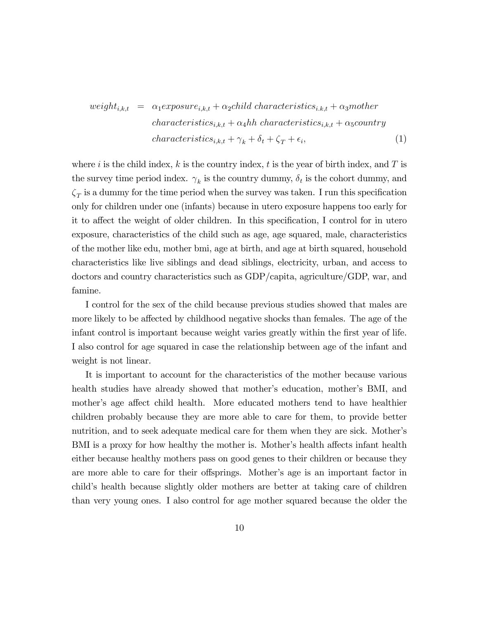$$
weight_{i,k,t} = \alpha_1 exposure_{i,k,t} + \alpha_2 child characteristics_{i,k,t} + \alpha_3 mother
$$
  
characteristics<sub>i,k,t</sub> + \alpha\_4hh characteristic<sub>i,k,t</sub> + \alpha\_5 country  
characteristics<sub>i,k,t</sub> + \gamma\_k + \delta\_t + \zeta\_T + \epsilon\_i, (1)

where i is the child index, k is the country index, t is the year of birth index, and T is the survey time period index.  $\gamma_k$  is the country dummy,  $\delta_t$  is the cohort dummy, and  $\zeta_T$  is a dummy for the time period when the survey was taken. I run this specification only for children under one (infants) because in utero exposure happens too early for it to affect the weight of older children. In this specification, I control for in utero exposure, characteristics of the child such as age, age squared, male, characteristics of the mother like edu, mother bmi, age at birth, and age at birth squared, household characteristics like live siblings and dead siblings, electricity, urban, and access to doctors and country characteristics such as GDP/capita, agriculture/GDP, war, and famine.

I control for the sex of the child because previous studies showed that males are more likely to be affected by childhood negative shocks than females. The age of the infant control is important because weight varies greatly within the first year of life. I also control for age squared in case the relationship between age of the infant and weight is not linear.

It is important to account for the characteristics of the mother because various health studies have already showed that mother's education, mother's BMI, and mother's age affect child health. More educated mothers tend to have healthier children probably because they are more able to care for them, to provide better nutrition, and to seek adequate medical care for them when they are sick. Mother's BMI is a proxy for how healthy the mother is. Mother's health affects infant health either because healthy mothers pass on good genes to their children or because they are more able to care for their offsprings. Mother's age is an important factor in childís health because slightly older mothers are better at taking care of children than very young ones. I also control for age mother squared because the older the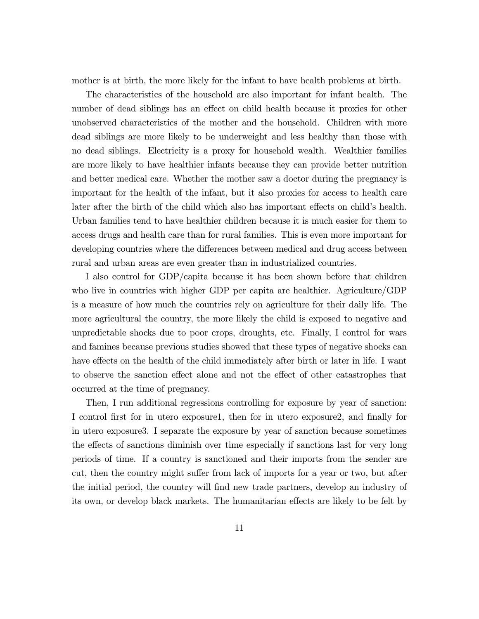mother is at birth, the more likely for the infant to have health problems at birth.

The characteristics of the household are also important for infant health. The number of dead siblings has an effect on child health because it proxies for other unobserved characteristics of the mother and the household. Children with more dead siblings are more likely to be underweight and less healthy than those with no dead siblings. Electricity is a proxy for household wealth. Wealthier families are more likely to have healthier infants because they can provide better nutrition and better medical care. Whether the mother saw a doctor during the pregnancy is important for the health of the infant, but it also proxies for access to health care later after the birth of the child which also has important effects on child's health. Urban families tend to have healthier children because it is much easier for them to access drugs and health care than for rural families. This is even more important for developing countries where the differences between medical and drug access between rural and urban areas are even greater than in industrialized countries.

I also control for GDP/capita because it has been shown before that children who live in countries with higher GDP per capita are healthier. Agriculture/GDP is a measure of how much the countries rely on agriculture for their daily life. The more agricultural the country, the more likely the child is exposed to negative and unpredictable shocks due to poor crops, droughts, etc. Finally, I control for wars and famines because previous studies showed that these types of negative shocks can have effects on the health of the child immediately after birth or later in life. I want to observe the sanction effect alone and not the effect of other catastrophes that occurred at the time of pregnancy.

Then, I run additional regressions controlling for exposure by year of sanction: I control first for in utero exposure1, then for in utero exposure2, and finally for in utero exposure3. I separate the exposure by year of sanction because sometimes the effects of sanctions diminish over time especially if sanctions last for very long periods of time. If a country is sanctioned and their imports from the sender are cut, then the country might suffer from lack of imports for a year or two, but after the initial period, the country will find new trade partners, develop an industry of its own, or develop black markets. The humanitarian effects are likely to be felt by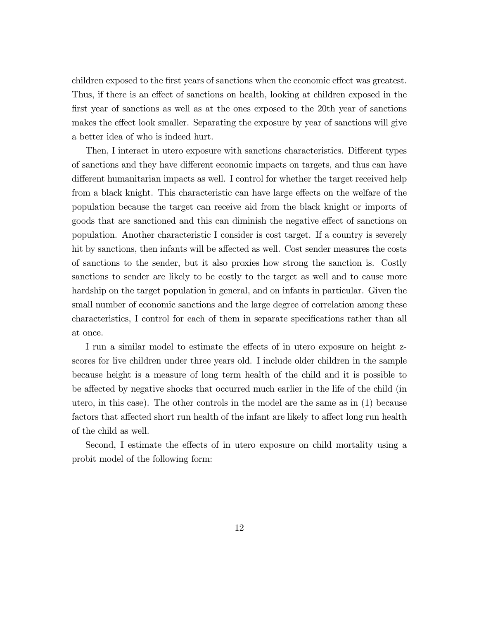children exposed to the first years of sanctions when the economic effect was greatest. Thus, if there is an effect of sanctions on health, looking at children exposed in the first year of sanctions as well as at the ones exposed to the 20th year of sanctions makes the effect look smaller. Separating the exposure by year of sanctions will give a better idea of who is indeed hurt.

Then, I interact in utero exposure with sanctions characteristics. Different types of sanctions and they have different economic impacts on targets, and thus can have different humanitarian impacts as well. I control for whether the target received help from a black knight. This characteristic can have large effects on the welfare of the population because the target can receive aid from the black knight or imports of goods that are sanctioned and this can diminish the negative effect of sanctions on population. Another characteristic I consider is cost target. If a country is severely hit by sanctions, then infants will be affected as well. Cost sender measures the costs of sanctions to the sender, but it also proxies how strong the sanction is. Costly sanctions to sender are likely to be costly to the target as well and to cause more hardship on the target population in general, and on infants in particular. Given the small number of economic sanctions and the large degree of correlation among these characteristics, I control for each of them in separate specifications rather than all at once.

I run a similar model to estimate the effects of in utero exposure on height zscores for live children under three years old. I include older children in the sample because height is a measure of long term health of the child and it is possible to be affected by negative shocks that occurred much earlier in the life of the child (in utero, in this case). The other controls in the model are the same as in (1) because factors that affected short run health of the infant are likely to affect long run health of the child as well.

Second, I estimate the effects of in utero exposure on child mortality using a probit model of the following form: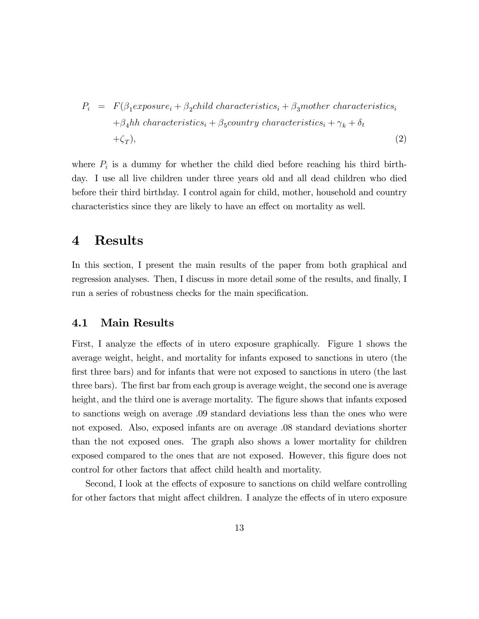$$
P_i = F(\beta_1 \text{exposure}_i + \beta_2 \text{child characteristics}_i + \beta_3 \text{mother characteristics}_i + \beta_4 \text{hh characteristic}_i + \beta_5 \text{country characteristics}_i + \gamma_k + \delta_t + \zeta_T),
$$
\n
$$
(2)
$$

where  $P_i$  is a dummy for whether the child died before reaching his third birthday. I use all live children under three years old and all dead children who died before their third birthday. I control again for child, mother, household and country characteristics since they are likely to have an effect on mortality as well.

### 4 Results

In this section, I present the main results of the paper from both graphical and regression analyses. Then, I discuss in more detail some of the results, and finally, I run a series of robustness checks for the main specification.

#### 4.1 Main Results

First, I analyze the effects of in utero exposure graphically. Figure 1 shows the average weight, height, and mortality for infants exposed to sanctions in utero (the first three bars) and for infants that were not exposed to sanctions in utero (the last three bars). The first bar from each group is average weight, the second one is average height, and the third one is average mortality. The figure shows that infants exposed to sanctions weigh on average .09 standard deviations less than the ones who were not exposed. Also, exposed infants are on average .08 standard deviations shorter than the not exposed ones. The graph also shows a lower mortality for children exposed compared to the ones that are not exposed. However, this figure does not control for other factors that affect child health and mortality.

Second, I look at the effects of exposure to sanctions on child welfare controlling for other factors that might affect children. I analyze the effects of in utero exposure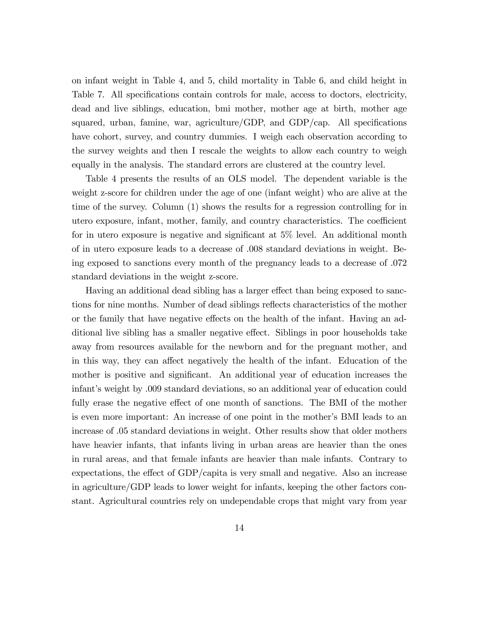on infant weight in Table 4, and 5, child mortality in Table 6, and child height in Table 7. All specifications contain controls for male, access to doctors, electricity, dead and live siblings, education, bmi mother, mother age at birth, mother age squared, urban, famine, war, agriculture/GDP, and GDP/cap. All specifications have cohort, survey, and country dummies. I weigh each observation according to the survey weights and then I rescale the weights to allow each country to weigh equally in the analysis. The standard errors are clustered at the country level.

Table 4 presents the results of an OLS model. The dependent variable is the weight z-score for children under the age of one (infant weight) who are alive at the time of the survey. Column (1) shows the results for a regression controlling for in utero exposure, infant, mother, family, and country characteristics. The coefficient for in utero exposure is negative and significant at  $5\%$  level. An additional month of in utero exposure leads to a decrease of .008 standard deviations in weight. Being exposed to sanctions every month of the pregnancy leads to a decrease of .072 standard deviations in the weight z-score.

Having an additional dead sibling has a larger effect than being exposed to sanctions for nine months. Number of dead siblings reflects characteristics of the mother or the family that have negative effects on the health of the infant. Having an additional live sibling has a smaller negative effect. Siblings in poor households take away from resources available for the newborn and for the pregnant mother, and in this way, they can affect negatively the health of the infant. Education of the mother is positive and significant. An additional year of education increases the infant's weight by .009 standard deviations, so an additional year of education could fully erase the negative effect of one month of sanctions. The BMI of the mother is even more important: An increase of one point in the mother's BMI leads to an increase of .05 standard deviations in weight. Other results show that older mothers have heavier infants, that infants living in urban areas are heavier than the ones in rural areas, and that female infants are heavier than male infants. Contrary to expectations, the effect of  $GDP/c$  apital is very small and negative. Also an increase in agriculture/GDP leads to lower weight for infants, keeping the other factors constant. Agricultural countries rely on undependable crops that might vary from year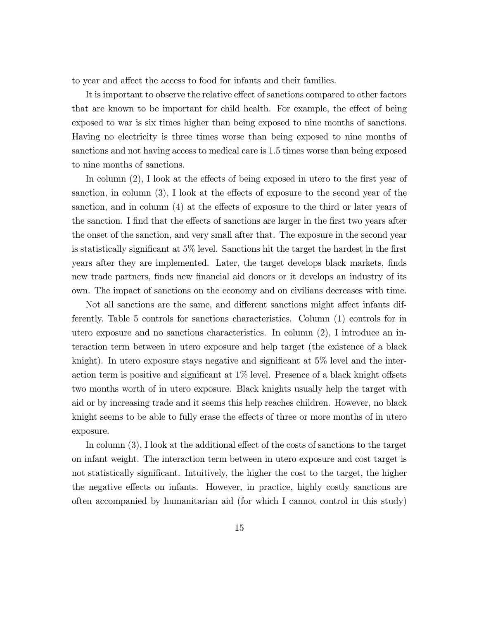to year and affect the access to food for infants and their families.

It is important to observe the relative effect of sanctions compared to other factors that are known to be important for child health. For example, the effect of being exposed to war is six times higher than being exposed to nine months of sanctions. Having no electricity is three times worse than being exposed to nine months of sanctions and not having access to medical care is 1.5 times worse than being exposed to nine months of sanctions.

In column  $(2)$ , I look at the effects of being exposed in utero to the first year of sanction, in column  $(3)$ , I look at the effects of exposure to the second year of the sanction, and in column  $(4)$  at the effects of exposure to the third or later years of the sanction. I find that the effects of sanctions are larger in the first two years after the onset of the sanction, and very small after that. The exposure in the second year is statistically significant at  $5\%$  level. Sanctions hit the target the hardest in the first years after they are implemented. Later, the target develops black markets, finds new trade partners, finds new financial aid donors or it develops an industry of its own. The impact of sanctions on the economy and on civilians decreases with time.

Not all sanctions are the same, and different sanctions might affect infants differently. Table 5 controls for sanctions characteristics. Column (1) controls for in utero exposure and no sanctions characteristics. In column (2), I introduce an interaction term between in utero exposure and help target (the existence of a black knight). In utero exposure stays negative and significant at  $5\%$  level and the interaction term is positive and significant at  $1\%$  level. Presence of a black knight offsets two months worth of in utero exposure. Black knights usually help the target with aid or by increasing trade and it seems this help reaches children. However, no black knight seems to be able to fully erase the effects of three or more months of in utero exposure.

In column  $(3)$ , I look at the additional effect of the costs of sanctions to the target on infant weight. The interaction term between in utero exposure and cost target is not statistically significant. Intuitively, the higher the cost to the target, the higher the negative effects on infants. However, in practice, highly costly sanctions are often accompanied by humanitarian aid (for which I cannot control in this study)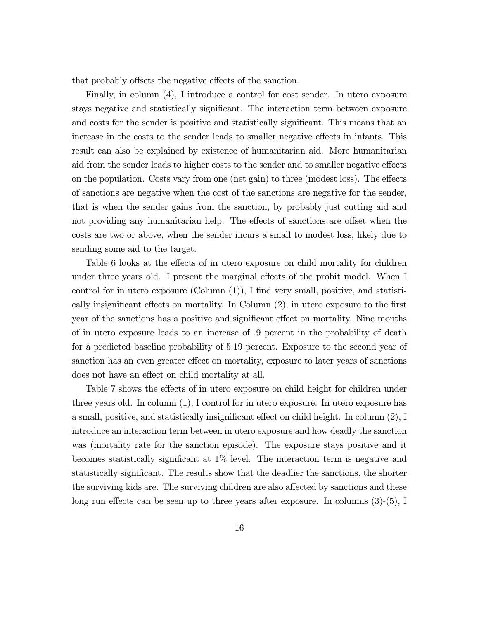that probably offsets the negative effects of the sanction.

Finally, in column (4), I introduce a control for cost sender. In utero exposure stays negative and statistically significant. The interaction term between exposure and costs for the sender is positive and statistically significant. This means that an increase in the costs to the sender leads to smaller negative effects in infants. This result can also be explained by existence of humanitarian aid. More humanitarian aid from the sender leads to higher costs to the sender and to smaller negative effects on the population. Costs vary from one (net gain) to three (modest loss). The effects of sanctions are negative when the cost of the sanctions are negative for the sender, that is when the sender gains from the sanction, by probably just cutting aid and not providing any humanitarian help. The effects of sanctions are offset when the costs are two or above, when the sender incurs a small to modest loss, likely due to sending some aid to the target.

Table 6 looks at the effects of in utero exposure on child mortality for children under three years old. I present the marginal effects of the probit model. When I control for in utero exposure  $(Column (1)), I$  find very small, positive, and statistically insignificant effects on mortality. In Column  $(2)$ , in utero exposure to the first year of the sanctions has a positive and significant effect on mortality. Nine months of in utero exposure leads to an increase of .9 percent in the probability of death for a predicted baseline probability of 5.19 percent. Exposure to the second year of sanction has an even greater effect on mortality, exposure to later years of sanctions does not have an effect on child mortality at all.

Table 7 shows the effects of in utero exposure on child height for children under three years old. In column (1), I control for in utero exposure. In utero exposure has a small, positive, and statistically insignificant effect on child height. In column  $(2)$ , I introduce an interaction term between in utero exposure and how deadly the sanction was (mortality rate for the sanction episode). The exposure stays positive and it becomes statistically significant at  $1\%$  level. The interaction term is negative and statistically significant. The results show that the deadlier the sanctions, the shorter the surviving kids are. The surviving children are also affected by sanctions and these long run effects can be seen up to three years after exposure. In columns  $(3)-(5)$ , I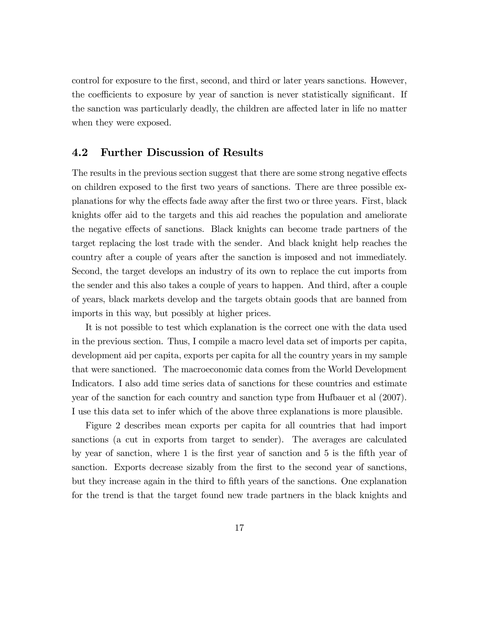control for exposure to the first, second, and third or later years sanctions. However, the coefficients to exposure by year of sanction is never statistically significant. If the sanction was particularly deadly, the children are affected later in life no matter when they were exposed.

### 4.2 Further Discussion of Results

The results in the previous section suggest that there are some strong negative effects on children exposed to the first two years of sanctions. There are three possible explanations for why the effects fade away after the first two or three years. First, black knights offer aid to the targets and this aid reaches the population and ameliorate the negative effects of sanctions. Black knights can become trade partners of the target replacing the lost trade with the sender. And black knight help reaches the country after a couple of years after the sanction is imposed and not immediately. Second, the target develops an industry of its own to replace the cut imports from the sender and this also takes a couple of years to happen. And third, after a couple of years, black markets develop and the targets obtain goods that are banned from imports in this way, but possibly at higher prices.

It is not possible to test which explanation is the correct one with the data used in the previous section. Thus, I compile a macro level data set of imports per capita, development aid per capita, exports per capita for all the country years in my sample that were sanctioned. The macroeconomic data comes from the World Development Indicators. I also add time series data of sanctions for these countries and estimate year of the sanction for each country and sanction type from Hufbauer et al (2007). I use this data set to infer which of the above three explanations is more plausible.

Figure 2 describes mean exports per capita for all countries that had import sanctions (a cut in exports from target to sender). The averages are calculated by year of sanction, where 1 is the first year of sanction and 5 is the fifth year of sanction. Exports decrease sizably from the first to the second year of sanctions, but they increase again in the third to Öfth years of the sanctions. One explanation for the trend is that the target found new trade partners in the black knights and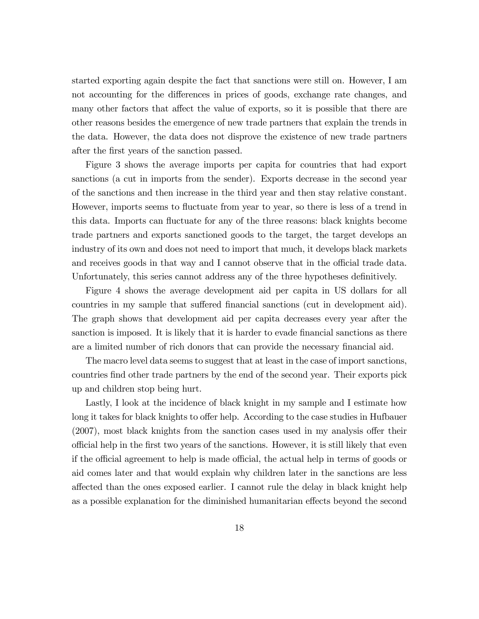started exporting again despite the fact that sanctions were still on. However, I am not accounting for the differences in prices of goods, exchange rate changes, and many other factors that affect the value of exports, so it is possible that there are other reasons besides the emergence of new trade partners that explain the trends in the data. However, the data does not disprove the existence of new trade partners after the first years of the sanction passed.

Figure 3 shows the average imports per capita for countries that had export sanctions (a cut in imports from the sender). Exports decrease in the second year of the sanctions and then increase in the third year and then stay relative constant. However, imports seems to fluctuate from year to year, so there is less of a trend in this data. Imports can fluctuate for any of the three reasons: black knights become trade partners and exports sanctioned goods to the target, the target develops an industry of its own and does not need to import that much, it develops black markets and receives goods in that way and I cannot observe that in the official trade data. Unfortunately, this series cannot address any of the three hypotheses definitively.

Figure 4 shows the average development aid per capita in US dollars for all countries in my sample that suffered financial sanctions (cut in development aid). The graph shows that development aid per capita decreases every year after the sanction is imposed. It is likely that it is harder to evade financial sanctions as there are a limited number of rich donors that can provide the necessary financial aid.

The macro level data seems to suggest that at least in the case of import sanctions, countries Önd other trade partners by the end of the second year. Their exports pick up and children stop being hurt.

Lastly, I look at the incidence of black knight in my sample and I estimate how long it takes for black knights to offer help. According to the case studies in Hufbauer  $(2007)$ , most black knights from the sanction cases used in my analysis offer their o¢ cial help in the Örst two years of the sanctions. However, it is still likely that even if the official agreement to help is made official, the actual help in terms of goods or aid comes later and that would explain why children later in the sanctions are less affected than the ones exposed earlier. I cannot rule the delay in black knight help as a possible explanation for the diminished humanitarian effects beyond the second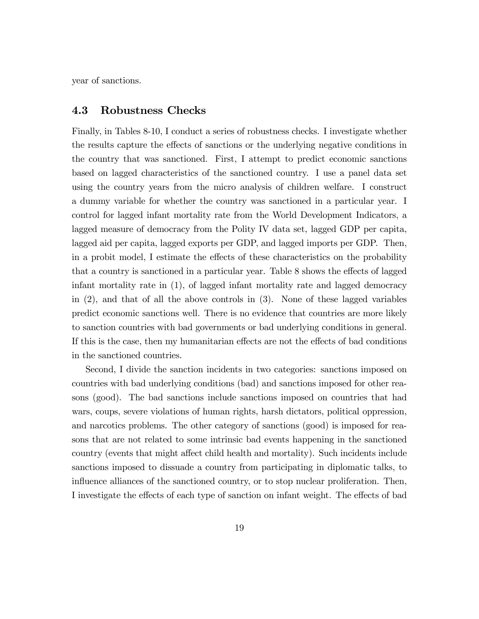year of sanctions.

#### 4.3 Robustness Checks

Finally, in Tables 8-10, I conduct a series of robustness checks. I investigate whether the results capture the effects of sanctions or the underlying negative conditions in the country that was sanctioned. First, I attempt to predict economic sanctions based on lagged characteristics of the sanctioned country. I use a panel data set using the country years from the micro analysis of children welfare. I construct a dummy variable for whether the country was sanctioned in a particular year. I control for lagged infant mortality rate from the World Development Indicators, a lagged measure of democracy from the Polity IV data set, lagged GDP per capita, lagged aid per capita, lagged exports per GDP, and lagged imports per GDP. Then, in a probit model, I estimate the effects of these characteristics on the probability that a country is sanctioned in a particular year. Table 8 shows the effects of lagged infant mortality rate in (1), of lagged infant mortality rate and lagged democracy in (2), and that of all the above controls in (3). None of these lagged variables predict economic sanctions well. There is no evidence that countries are more likely to sanction countries with bad governments or bad underlying conditions in general. If this is the case, then my humanitarian effects are not the effects of bad conditions in the sanctioned countries.

Second, I divide the sanction incidents in two categories: sanctions imposed on countries with bad underlying conditions (bad) and sanctions imposed for other reasons (good). The bad sanctions include sanctions imposed on countries that had wars, coups, severe violations of human rights, harsh dictators, political oppression, and narcotics problems. The other category of sanctions (good) is imposed for reasons that are not related to some intrinsic bad events happening in the sanctioned country (events that might affect child health and mortality). Such incidents include sanctions imposed to dissuade a country from participating in diplomatic talks, to influence alliances of the sanctioned country, or to stop nuclear proliferation. Then, I investigate the effects of each type of sanction on infant weight. The effects of bad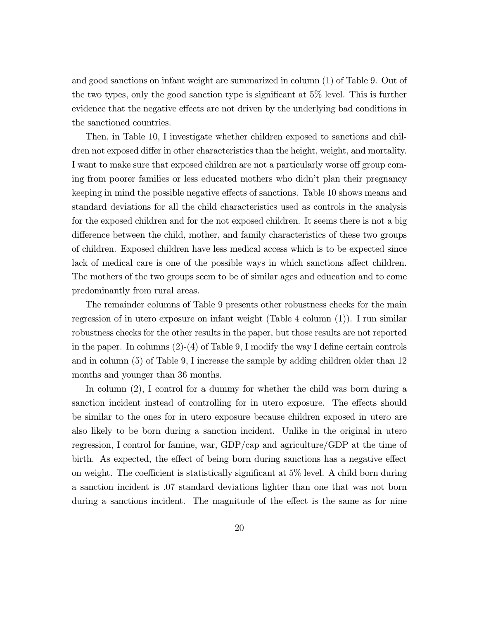and good sanctions on infant weight are summarized in column (1) of Table 9. Out of the two types, only the good sanction type is significant at  $5\%$  level. This is further evidence that the negative effects are not driven by the underlying bad conditions in the sanctioned countries.

Then, in Table 10, I investigate whether children exposed to sanctions and children not exposed differ in other characteristics than the height, weight, and mortality. I want to make sure that exposed children are not a particularly worse off group coming from poorer families or less educated mothers who didnít plan their pregnancy keeping in mind the possible negative effects of sanctions. Table 10 shows means and standard deviations for all the child characteristics used as controls in the analysis for the exposed children and for the not exposed children. It seems there is not a big difference between the child, mother, and family characteristics of these two groups of children. Exposed children have less medical access which is to be expected since lack of medical care is one of the possible ways in which sanctions affect children. The mothers of the two groups seem to be of similar ages and education and to come predominantly from rural areas.

The remainder columns of Table 9 presents other robustness checks for the main regression of in utero exposure on infant weight (Table 4 column (1)). I run similar robustness checks for the other results in the paper, but those results are not reported in the paper. In columns  $(2)-(4)$  of Table 9, I modify the way I define certain controls and in column (5) of Table 9, I increase the sample by adding children older than 12 months and younger than 36 months.

In column (2), I control for a dummy for whether the child was born during a sanction incident instead of controlling for in utero exposure. The effects should be similar to the ones for in utero exposure because children exposed in utero are also likely to be born during a sanction incident. Unlike in the original in utero regression, I control for famine, war, GDP/cap and agriculture/GDP at the time of birth. As expected, the effect of being born during sanctions has a negative effect on weight. The coefficient is statistically significant at  $5\%$  level. A child born during a sanction incident is .07 standard deviations lighter than one that was not born during a sanctions incident. The magnitude of the effect is the same as for nine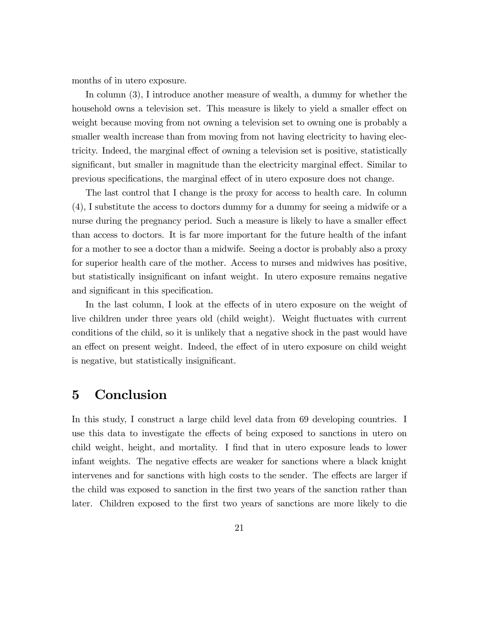months of in utero exposure.

In column (3), I introduce another measure of wealth, a dummy for whether the household owns a television set. This measure is likely to yield a smaller effect on weight because moving from not owning a television set to owning one is probably a smaller wealth increase than from moving from not having electricity to having electricity. Indeed, the marginal effect of owning a television set is positive, statistically significant, but smaller in magnitude than the electricity marginal effect. Similar to previous specifications, the marginal effect of in utero exposure does not change.

The last control that I change is the proxy for access to health care. In column (4), I substitute the access to doctors dummy for a dummy for seeing a midwife or a nurse during the pregnancy period. Such a measure is likely to have a smaller effect than access to doctors. It is far more important for the future health of the infant for a mother to see a doctor than a midwife. Seeing a doctor is probably also a proxy for superior health care of the mother. Access to nurses and midwives has positive, but statistically insignificant on infant weight. In utero exposure remains negative and significant in this specification.

In the last column, I look at the effects of in utero exposure on the weight of live children under three years old (child weight). Weight fluctuates with current conditions of the child, so it is unlikely that a negative shock in the past would have an effect on present weight. Indeed, the effect of in utero exposure on child weight is negative, but statistically insignificant.

## 5 Conclusion

In this study, I construct a large child level data from 69 developing countries. I use this data to investigate the effects of being exposed to sanctions in utero on child weight, height, and mortality. I find that in utero exposure leads to lower infant weights. The negative effects are weaker for sanctions where a black knight intervenes and for sanctions with high costs to the sender. The effects are larger if the child was exposed to sanction in the first two years of the sanction rather than later. Children exposed to the first two years of sanctions are more likely to die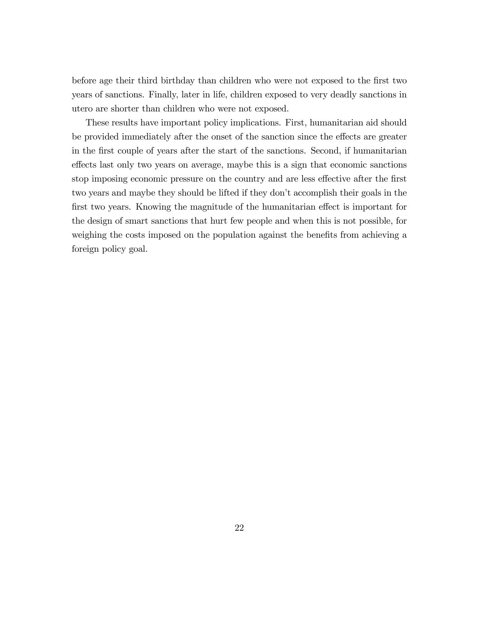before age their third birthday than children who were not exposed to the first two years of sanctions. Finally, later in life, children exposed to very deadly sanctions in utero are shorter than children who were not exposed.

These results have important policy implications. First, humanitarian aid should be provided immediately after the onset of the sanction since the effects are greater in the first couple of years after the start of the sanctions. Second, if humanitarian effects last only two years on average, maybe this is a sign that economic sanctions stop imposing economic pressure on the country and are less effective after the first two years and maybe they should be lifted if they don't accomplish their goals in the first two years. Knowing the magnitude of the humanitarian effect is important for the design of smart sanctions that hurt few people and when this is not possible, for weighing the costs imposed on the population against the benefits from achieving a foreign policy goal.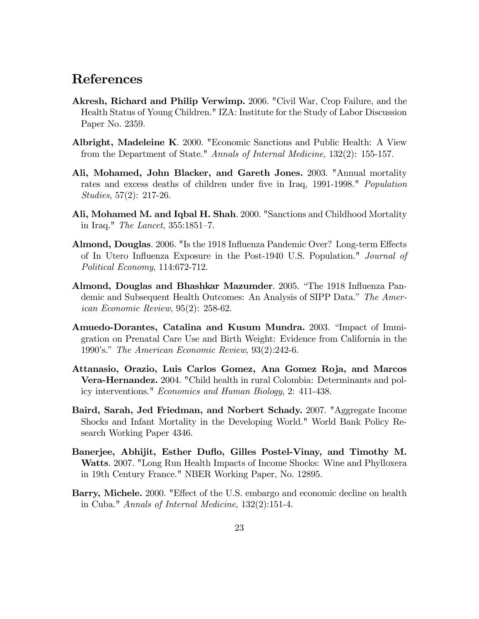### References

- Akresh, Richard and Philip Verwimp. 2006. "Civil War, Crop Failure, and the Health Status of Young Children." IZA: Institute for the Study of Labor Discussion Paper No. 2359.
- Albright, Madeleine K. 2000. "Economic Sanctions and Public Health: A View from the Department of State." Annals of Internal Medicine, 132(2): 155-157.
- Ali, Mohamed, John Blacker, and Gareth Jones. 2003. "Annual mortality rates and excess deaths of children under five in Iraq, 1991-1998." Population Studies, 57(2): 217-26.
- Ali, Mohamed M. and Iqbal H. Shah. 2000. "Sanctions and Childhood Mortality in Iraq." *The Lancet*,  $355:1851-7$ .
- Almond, Douglas. 2006. "Is the 1918 Influenza Pandemic Over? Long-term Effects of In Utero Ináuenza Exposure in the Post-1940 U.S. Population." Journal of Political Economy, 114:672-712.
- Almond, Douglas and Bhashkar Mazumder. 2005. "The 1918 Influenza Pandemic and Subsequent Health Outcomes: An Analysis of SIPP Data." The American Economic Review, 95(2): 258-62.
- Amuedo-Dorantes, Catalina and Kusum Mundra. 2003. "Impact of Immigration on Prenatal Care Use and Birth Weight: Evidence from California in the 1990's." The American Economic Review,  $93(2):242-6$ .
- Attanasio, Orazio, Luis Carlos Gomez, Ana Gomez Roja, and Marcos Vera-Hernandez. 2004. "Child health in rural Colombia: Determinants and policy interventions." Economics and Human Biology, 2: 411-438.
- Baird, Sarah, Jed Friedman, and Norbert Schady. 2007. "Aggregate Income Shocks and Infant Mortality in the Developing World." World Bank Policy Research Working Paper 4346.
- Banerjee, Abhijit, Esther Duflo, Gilles Postel-Vinay, and Timothy M. Watts. 2007. "Long Run Health Impacts of Income Shocks: Wine and Phylloxera in 19th Century France." NBER Working Paper, No. 12895.
- Barry, Michele. 2000. "Effect of the U.S. embargo and economic decline on health in Cuba." Annals of Internal Medicine, 132(2):151-4.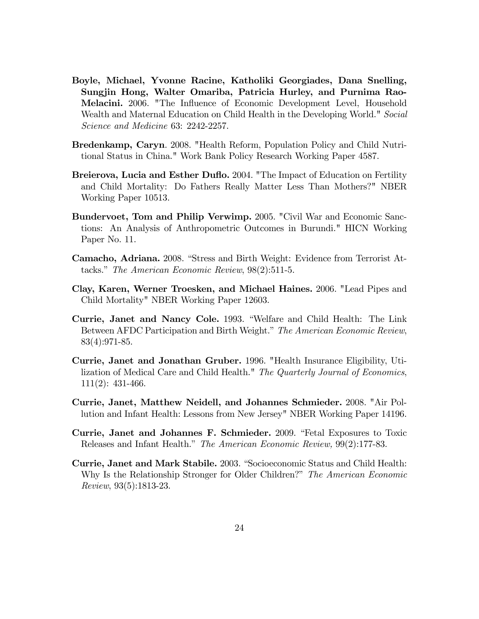- Boyle, Michael, Yvonne Racine, Katholiki Georgiades, Dana Snelling, Sungjin Hong, Walter Omariba, Patricia Hurley, and Purnima Rao-Melacini. 2006. "The Influence of Economic Development Level, Household Wealth and Maternal Education on Child Health in the Developing World." Social Science and Medicine 63: 2242-2257.
- Bredenkamp, Caryn. 2008. "Health Reform, Population Policy and Child Nutritional Status in China." Work Bank Policy Research Working Paper 4587.
- Breierova, Lucia and Esther Duflo. 2004. "The Impact of Education on Fertility and Child Mortality: Do Fathers Really Matter Less Than Mothers?" NBER Working Paper 10513.
- Bundervoet, Tom and Philip Verwimp. 2005. "Civil War and Economic Sanctions: An Analysis of Anthropometric Outcomes in Burundi." HICN Working Paper No. 11.
- Camacho, Adriana. 2008. "Stress and Birth Weight: Evidence from Terrorist Attacks." The American Economic Review,  $98(2):511-5$ .
- Clay, Karen, Werner Troesken, and Michael Haines. 2006. "Lead Pipes and Child Mortality" NBER Working Paper 12603.
- Currie, Janet and Nancy Cole. 1993. "Welfare and Child Health: The Link Between AFDC Participation and Birth Weight." The American Economic Review, 83(4):971-85.
- Currie, Janet and Jonathan Gruber. 1996. "Health Insurance Eligibility, Utilization of Medical Care and Child Health." The Quarterly Journal of Economics, 111(2): 431-466.
- Currie, Janet, Matthew Neidell, and Johannes Schmieder. 2008. "Air Pollution and Infant Health: Lessons from New Jersey" NBER Working Paper 14196.
- Currie, Janet and Johannes F. Schmieder. 2009. "Fetal Exposures to Toxic Releases and Infant Health." The American Economic Review, 99(2):177-83.
- Currie, Janet and Mark Stabile. 2003. "Socioeconomic Status and Child Health: Why Is the Relationship Stronger for Older Children?" The American Economic Review, 93(5):1813-23.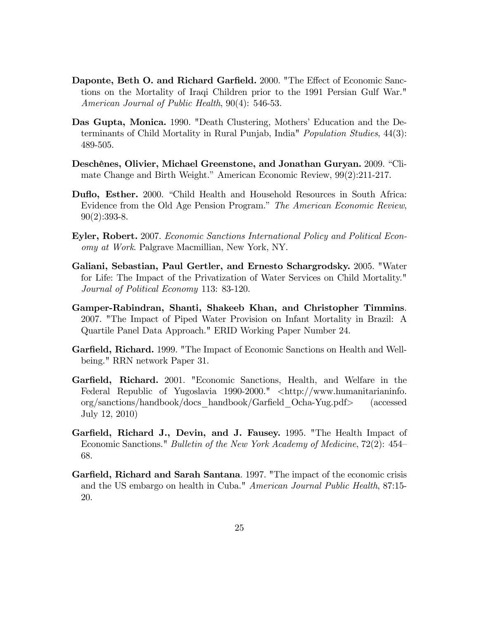- Daponte, Beth O. and Richard Garfield. 2000. "The Effect of Economic Sanctions on the Mortality of Iraqi Children prior to the 1991 Persian Gulf War." American Journal of Public Health, 90(4): 546-53.
- Das Gupta, Monica. 1990. "Death Clustering, Mothers' Education and the Determinants of Child Mortality in Rural Punjab, India" Population Studies, 44(3): 489-505.
- Deschênes, Olivier, Michael Greenstone, and Jonathan Guryan. 2009. "Climate Change and Birth Weight." American Economic Review,  $99(2):211-217$ .
- Duflo, Esther. 2000. "Child Health and Household Resources in South Africa: Evidence from the Old Age Pension Program." The American Economic Review, 90(2):393-8.
- Eyler, Robert. 2007. Economic Sanctions International Policy and Political Economy at Work. Palgrave Macmillian, New York, NY.
- Galiani, Sebastian, Paul Gertler, and Ernesto Schargrodsky. 2005. "Water for Life: The Impact of the Privatization of Water Services on Child Mortality." Journal of Political Economy 113: 83-120.
- Gamper-Rabindran, Shanti, Shakeeb Khan, and Christopher Timmins. 2007. "The Impact of Piped Water Provision on Infant Mortality in Brazil: A Quartile Panel Data Approach." ERID Working Paper Number 24.
- Garfield, Richard. 1999. "The Impact of Economic Sanctions on Health and Wellbeing." RRN network Paper 31.
- Garfield, Richard. 2001. "Economic Sanctions, Health, and Welfare in the Federal Republic of Yugoslavia 1990-2000." <http://www.humanitarianinfo. org/sanctions/handbook/docs\_handbook/GarÖeld\_Ocha-Yug.pdf> (accessed July 12, 2010)
- Garfield, Richard J., Devin, and J. Fausey. 1995. "The Health Impact of Economic Sanctions." *Bulletin of the New York Academy of Medicine*,  $72(2)$ :  $454$ 68.
- Garfield, Richard and Sarah Santana. 1997. "The impact of the economic crisis and the US embargo on health in Cuba." American Journal Public Health, 87:15- 20.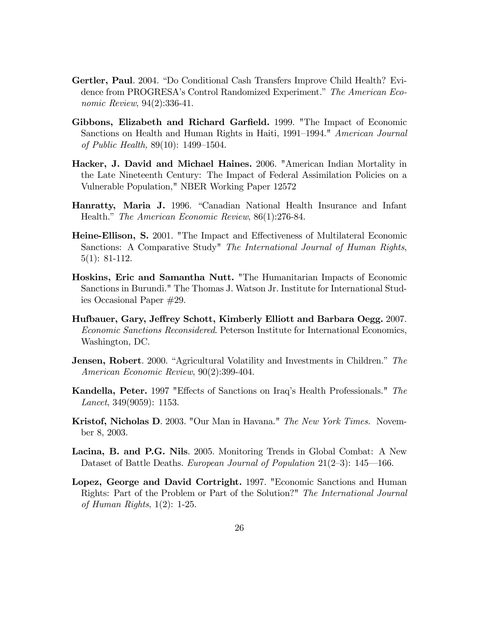- Gertler, Paul. 2004. "Do Conditional Cash Transfers Improve Child Health? Evidence from PROGRESA's Control Randomized Experiment." The American Economic Review, 94(2):336-41.
- Gibbons, Elizabeth and Richard Garfield. 1999. "The Impact of Economic Sanctions on Health and Human Rights in Haiti, 1991–1994." American Journal of Public Health,  $89(10)$ : 1499–1504.
- Hacker, J. David and Michael Haines. 2006. "American Indian Mortality in the Late Nineteenth Century: The Impact of Federal Assimilation Policies on a Vulnerable Population," NBER Working Paper 12572
- Hanratty, Maria J. 1996. "Canadian National Health Insurance and Infant Health." The American Economic Review, 86(1):276-84.
- Heine-Ellison, S. 2001. "The Impact and Effectiveness of Multilateral Economic Sanctions: A Comparative Study" The International Journal of Human Rights, 5(1): 81-112.
- Hoskins, Eric and Samantha Nutt. "The Humanitarian Impacts of Economic Sanctions in Burundi." The Thomas J. Watson Jr. Institute for International Studies Occasional Paper #29.
- Hufbauer, Gary, Jeffrey Schott, Kimberly Elliott and Barbara Oegg. 2007. Economic Sanctions Reconsidered. Peterson Institute for International Economics, Washington, DC.
- **Jensen, Robert.** 2000. "Agricultural Volatility and Investments in Children." The American Economic Review, 90(2):399-404.
- Kandella, Peter. 1997 "Effects of Sanctions on Iraq's Health Professionals." The *Lancet*, 349 $(9059)$ : 1153.
- Kristof, Nicholas D. 2003. "Our Man in Havana." The New York Times. November 8, 2003.
- Lacina, B. and P.G. Nils. 2005. Monitoring Trends in Global Combat: A New Dataset of Battle Deaths. European Journal of Population  $21(2-3)$ : 145–166.
- Lopez, George and David Cortright. 1997. "Economic Sanctions and Human Rights: Part of the Problem or Part of the Solution?" The International Journal of Human Rights, 1(2): 1-25.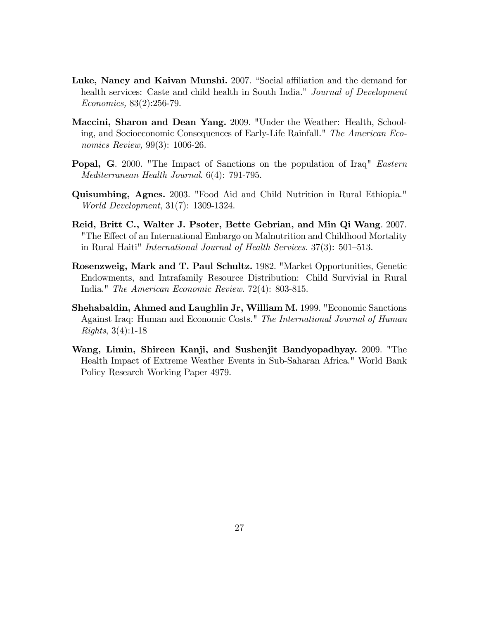- Luke, Nancy and Kaivan Munshi. 2007. "Social affiliation and the demand for health services: Caste and child health in South India.<sup>n</sup> Journal of Development Economics, 83(2):256-79.
- Maccini, Sharon and Dean Yang. 2009. "Under the Weather: Health, Schooling, and Socioeconomic Consequences of Early-Life Rainfall." The American Economics Review, 99(3): 1006-26.
- Popal, G. 2000. "The Impact of Sanctions on the population of Iraq" Eastern Mediterranean Health Journal. 6(4): 791-795.
- Quisumbing, Agnes. 2003. "Food Aid and Child Nutrition in Rural Ethiopia." World Development, 31(7): 1309-1324.
- Reid, Britt C., Walter J. Psoter, Bette Gebrian, and Min Qi Wang. 2007. "The Effect of an International Embargo on Malnutrition and Childhood Mortality in Rural Haiti" *International Journal of Health Services.*  $37(3)$ :  $501-513$ .
- Rosenzweig, Mark and T. Paul Schultz. 1982. "Market Opportunities, Genetic Endowments, and Intrafamily Resource Distribution: Child Survivial in Rural India." The American Economic Review. 72(4): 803-815.
- Shehabaldin, Ahmed and Laughlin Jr, William M. 1999. "Economic Sanctions Against Iraq: Human and Economic Costs." The International Journal of Human Rights, 3(4):1-18
- Wang, Limin, Shireen Kanji, and Sushenjit Bandyopadhyay. 2009. "The Health Impact of Extreme Weather Events in Sub-Saharan Africa." World Bank Policy Research Working Paper 4979.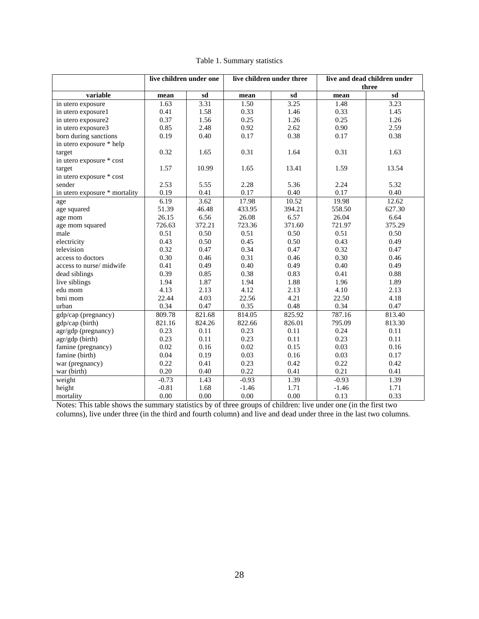|                               | live children under one |          | live children under three |        | live and dead children under<br>three |        |  |
|-------------------------------|-------------------------|----------|---------------------------|--------|---------------------------------------|--------|--|
| variable                      | mean                    | sd       | mean                      | sd     | mean                                  | sd     |  |
| in utero exposure             | 1.63                    | 3.31     | 1.50                      | 3.25   | 1.48                                  | 3.23   |  |
| in utero exposure1            | 0.41                    | 1.58     | 0.33                      | 1.46   | 0.33                                  | 1.45   |  |
| in utero exposure2            | 0.37                    | 1.56     | 0.25                      | 1.26   | 0.25                                  | 1.26   |  |
| in utero exposure3            | 0.85                    | 2.48     | 0.92                      | 2.62   | 0.90                                  | 2.59   |  |
| born during sanctions         | 0.19                    | 0.40     | 0.17                      | 0.38   | 0.17                                  | 0.38   |  |
| in utero exposure * help      |                         |          |                           |        |                                       |        |  |
| target                        | 0.32                    | 1.65     | 0.31                      | 1.64   | 0.31                                  | 1.63   |  |
| in utero exposure * cost      |                         |          |                           |        |                                       |        |  |
| target                        | 1.57                    | 10.99    | 1.65                      | 13.41  | 1.59                                  | 13.54  |  |
| in utero exposure * cost      |                         |          |                           |        |                                       |        |  |
| sender                        | 2.53                    | 5.55     | 2.28                      | 5.36   | 2.24                                  | 5.32   |  |
| in utero exposure * mortality | 0.19                    | 0.41     | 0.17                      | 0.40   | 0.17                                  | 0.40   |  |
| age                           | 6.19                    | 3.62     | 17.98                     | 10.52  | 19.98                                 | 12.62  |  |
| age squared                   | 51.39                   | 46.48    | 433.95                    | 394.21 | 558.50                                | 627.30 |  |
| age mom                       | 26.15                   | 6.56     | 26.08                     | 6.57   | 26.04                                 | 6.64   |  |
| age mom squared               | 726.63                  | 372.21   | 723.36                    | 371.60 | 721.97                                | 375.29 |  |
| male                          | 0.51                    | 0.50     | 0.51                      | 0.50   | 0.51                                  | 0.50   |  |
| electricity                   | 0.43                    | 0.50     | 0.45                      | 0.50   | 0.43                                  | 0.49   |  |
| television                    | 0.32                    | 0.47     | 0.34                      | 0.47   | 0.32                                  | 0.47   |  |
| access to doctors             | 0.30                    | 0.46     | 0.31                      | 0.46   | 0.30                                  | 0.46   |  |
| access to nurse/midwife       | 0.41                    | 0.49     | 0.40                      | 0.49   | 0.40                                  | 0.49   |  |
| dead siblings                 | 0.39                    | 0.85     | 0.38                      | 0.83   | 0.41                                  | 0.88   |  |
| live siblings                 | 1.94                    | 1.87     | 1.94                      | 1.88   | 1.96                                  | 1.89   |  |
| edu mom                       | 4.13                    | 2.13     | 4.12                      | 2.13   | 4.10                                  | 2.13   |  |
| bmi mom                       | 22.44                   | 4.03     | 22.56                     | 4.21   | 22.50                                 | 4.18   |  |
| urban                         | 0.34                    | 0.47     | 0.35                      | 0.48   | 0.34                                  | 0.47   |  |
| gdp/cap (pregnancy)           | 809.78                  | 821.68   | 814.05                    | 825.92 | 787.16                                | 813.40 |  |
| gdp/cap (birth)               | 821.16                  | 824.26   | 822.66                    | 826.01 | 795.09                                | 813.30 |  |
| agr/gdp (pregnancy)           | 0.23                    | 0.11     | 0.23                      | 0.11   | 0.24                                  | 0.11   |  |
| $\frac{agr/gdp}{$ (birth)     | 0.23                    | 0.11     | 0.23                      | 0.11   | 0.23                                  | 0.11   |  |
| famine (pregnancy)            | 0.02                    | 0.16     | 0.02                      | 0.15   | 0.03                                  | 0.16   |  |
| famine (birth)                | 0.04                    | 0.19     | 0.03                      | 0.16   | 0.03                                  | 0.17   |  |
| war (pregnancy)               | 0.22                    | 0.41     | 0.23                      | 0.42   | 0.22                                  | 0.42   |  |
| war (birth)                   | 0.20                    | 0.40     | 0.22                      | 0.41   | 0.21                                  | 0.41   |  |
| weight                        | $-0.73$                 | 1.43     | $-0.93$                   | 1.39   | $-0.93$                               | 1.39   |  |
| height                        | $-0.81$                 | 1.68     | $-1.46$                   | 1.71   | $-1.46$                               | 1.71   |  |
| mortality                     | 0.00                    | $0.00\,$ | 0.00                      | 0.00   | 0.13                                  | 0.33   |  |

#### Table 1. Summary statistics

Notes: This table shows the summary statistics by of three groups of children: live under one (in the first two columns), live under three (in the third and fourth column) and live and dead under three in the last two columns.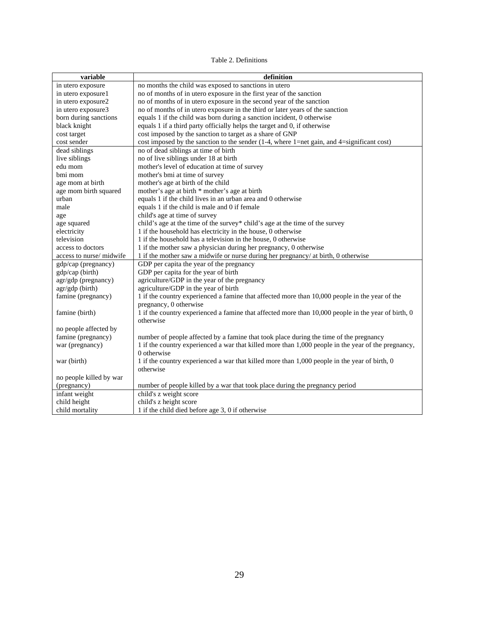#### Table 2. Definitions

| variable                | definition                                                                                          |
|-------------------------|-----------------------------------------------------------------------------------------------------|
| in utero exposure       | no months the child was exposed to sanctions in utero                                               |
| in utero exposure1      | no of months of in utero exposure in the first year of the sanction                                 |
| in utero exposure2      | no of months of in utero exposure in the second year of the sanction                                |
| in utero exposure3      | no of months of in utero exposure in the third or later years of the sanction                       |
| born during sanctions   | equals 1 if the child was born during a sanction incident, 0 otherwise                              |
| black knight            | equals 1 if a third party officially helps the target and 0, if otherwise                           |
| cost target             | cost imposed by the sanction to target as a share of GNP                                            |
| cost sender             | cost imposed by the sanction to the sender (1-4, where 1=net gain, and 4=significant cost)          |
| dead siblings           | no of dead siblings at time of birth                                                                |
| live siblings           | no of live siblings under 18 at birth                                                               |
| edu mom                 | mother's level of education at time of survey                                                       |
| bmi mom                 | mother's bmi at time of survey                                                                      |
| age mom at birth        | mother's age at birth of the child                                                                  |
| age mom birth squared   | mother's age at birth * mother's age at birth                                                       |
| urban                   | equals 1 if the child lives in an urban area and 0 otherwise                                        |
| male                    | equals 1 if the child is male and 0 if female                                                       |
| age                     | child's age at time of survey                                                                       |
| age squared             | child's age at the time of the survey* child's age at the time of the survey                        |
| electricity             | 1 if the household has electricity in the house, 0 otherwise                                        |
| television              | 1 if the household has a television in the house, 0 otherwise                                       |
| access to doctors       | 1 if the mother saw a physician during her pregnancy, 0 otherwise                                   |
| access to nurse/midwife | 1 if the mother saw a midwife or nurse during her pregnancy/ at birth, 0 otherwise                  |
| gdp/cap (pregnancy)     | GDP per capita the year of the pregnancy                                                            |
| gdp/cap (birth)         | GDP per capita for the year of birth                                                                |
| agr/gdp (pregnancy)     | agriculture/GDP in the year of the pregnancy                                                        |
| agr/gdp (birth)         | agriculture/GDP in the year of birth                                                                |
| famine (pregnancy)      | 1 if the country experienced a famine that affected more than 10,000 people in the year of the      |
|                         | pregnancy, 0 otherwise                                                                              |
| famine (birth)          | 1 if the country experienced a famine that affected more than 10,000 people in the year of birth, 0 |
|                         | otherwise                                                                                           |
| no people affected by   |                                                                                                     |
| famine (pregnancy)      | number of people affected by a famine that took place during the time of the pregnancy              |
| war (pregnancy)         | 1 if the country experienced a war that killed more than 1,000 people in the year of the pregnancy, |
|                         | 0 otherwise                                                                                         |
| war (birth)             | 1 if the country experienced a war that killed more than 1,000 people in the year of birth, 0       |
|                         | otherwise                                                                                           |
| no people killed by war |                                                                                                     |
| (pregnancy)             | number of people killed by a war that took place during the pregnancy period                        |
| infant weight           | child's z weight score                                                                              |
| child height            | child's z height score                                                                              |
| child mortality         | 1 if the child died before age 3, 0 if otherwise                                                    |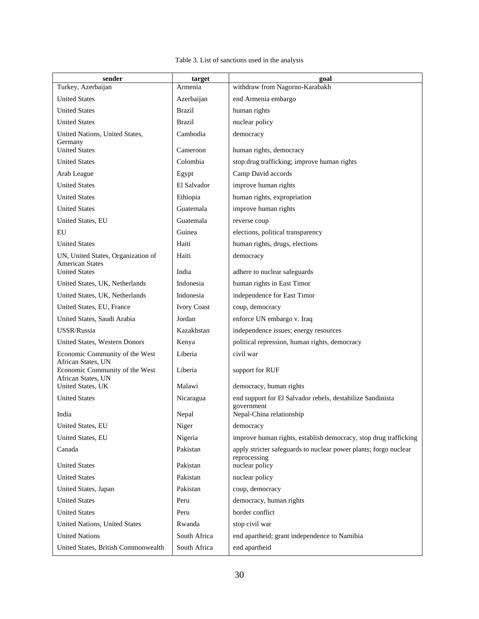#### Table 3. List of sanctions used in the analysis

| sender                                               | target             | goal                                                                             |
|------------------------------------------------------|--------------------|----------------------------------------------------------------------------------|
| Turkey, Azerbaijan                                   | Armenia            | withdraw from Nagorno-Karabakh                                                   |
| <b>United States</b>                                 | Azerbaijan         | end Armenia embargo                                                              |
| <b>United States</b>                                 | Brazil             | human rights                                                                     |
| <b>United States</b>                                 | <b>Brazil</b>      | nuclear policy                                                                   |
| United Nations, United States,                       | Cambodia           | democracy                                                                        |
| Germany<br><b>United States</b>                      | Cameroon           | human rights, democracy                                                          |
| <b>United States</b>                                 | Colombia           | stop drug trafficking; improve human rights                                      |
| Arab League                                          | Egypt              | Camp David accords                                                               |
| <b>United States</b>                                 | El Salvador        | improve human rights                                                             |
| <b>United States</b>                                 | Ethiopia           | human rights, expropriation                                                      |
| <b>United States</b>                                 | Guatemala          | improve human rights                                                             |
| United States, EU                                    | Guatemala          | reverse coup                                                                     |
| EU                                                   | Guinea             | elections, political transparency                                                |
| <b>United States</b>                                 | Haiti              | human rights, drugs, elections                                                   |
| UN, United States, Organization of                   | Haiti              | democracy                                                                        |
| <b>American States</b><br><b>United States</b>       | India              | adhere to nuclear safeguards                                                     |
| United States, UK, Netherlands                       | Indonesia          | human rights in East Timor                                                       |
| United States, UK, Netherlands                       | Indonesia          | independence for East Timor                                                      |
| United States, EU, France                            | <b>Ivory Coast</b> | coup, democracy                                                                  |
| United States, Saudi Arabia                          | Jordan             | enforce UN embargo v. Iraq                                                       |
| USSR/Russia                                          | Kazakhstan         | independence issues; energy resources                                            |
| United States, Western Donors                        | Kenya              | political repression, human rights, democracy                                    |
| Economic Community of the West<br>African States, UN | Liberia            | civil war                                                                        |
| Economic Community of the West<br>African States, UN | Liberia            | support for RUF                                                                  |
| United States, UK                                    | Malawi             | democracy, human rights                                                          |
| <b>United States</b>                                 | Nicaragua          | end support for El Salvador rebels, destabilize Sandinista                       |
| India                                                | Nepal              | government<br>Nepal-China relationship                                           |
| United States, EU                                    | Niger              | democracy                                                                        |
| United States, EU                                    | Nigeria            | improve human rights, establish democracy, stop drug trafficking                 |
| Canada                                               | Pakistan           | apply stricter safeguards to nuclear power plants; forgo nuclear<br>reprocessing |
| <b>United States</b>                                 | Pakistan           | nuclear policy                                                                   |
| <b>United States</b>                                 | Pakistan           | nuclear policy                                                                   |
| United States, Japan                                 | Pakistan           | coup, democracy                                                                  |
| <b>United States</b>                                 | Peru               | democracy, human rights                                                          |
| <b>United States</b>                                 | Peru               | border conflict                                                                  |
| United Nations, United States                        | Rwanda             | stop civil war                                                                   |
| <b>United Nations</b>                                | South Africa       | end apartheid; grant independence to Namibia                                     |
| United States, British Commonwealth                  | South Africa       | end apartheid                                                                    |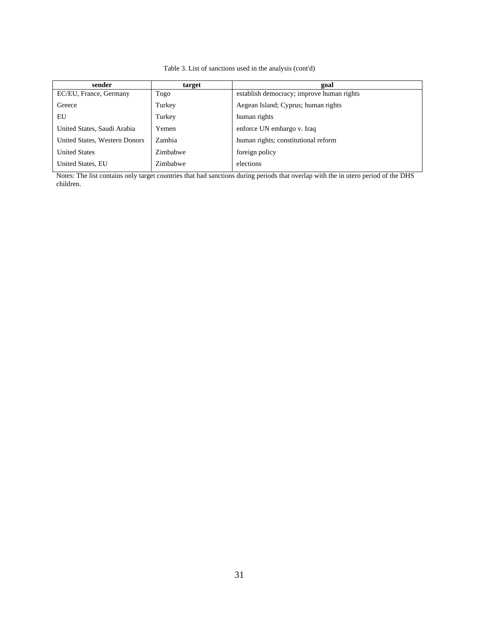#### Table 3. List of sanctions used in the analysis (cont'd)

| sender                        | target   | goal                                      |
|-------------------------------|----------|-------------------------------------------|
| EC/EU, France, Germany        | Togo     | establish democracy; improve human rights |
| Greece                        | Turkey   | Aegean Island; Cyprus; human rights       |
| EU                            | Turkey   | human rights                              |
| United States, Saudi Arabia   | Yemen    | enforce UN embargo v. Iraq                |
| United States, Western Donors | Zambia   | human rights; constitutional reform       |
| <b>United States</b>          | Zimbabwe | foreign policy                            |
| United States, EU             | Zimbabwe | elections                                 |

Notes: The list contains only target countries that had sanctions during periods that overlap with the in utero period of the DHS children.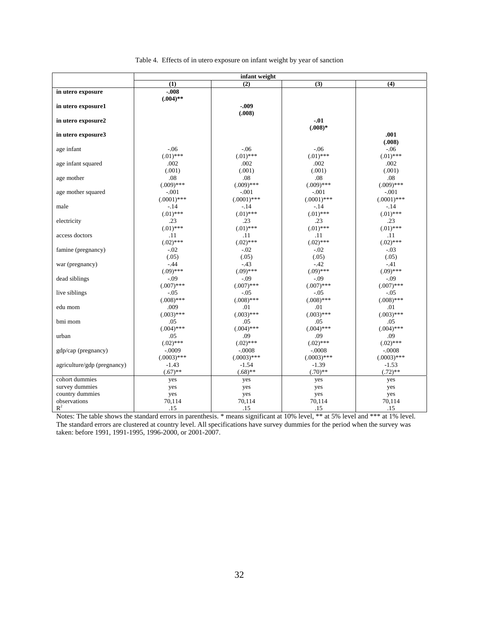|  |  | Table 4. Effects of in utero exposure on infant weight by year of sanction |
|--|--|----------------------------------------------------------------------------|
|  |  |                                                                            |

|                             | infant weight       |                    |                     |                     |  |  |
|-----------------------------|---------------------|--------------------|---------------------|---------------------|--|--|
|                             | (1)                 | $\overline{(2)}$   | (3)                 | (4)                 |  |  |
| in utero exposure           | $-.008$             |                    |                     |                     |  |  |
|                             | $(.004)$ **         |                    |                     |                     |  |  |
| in utero exposure1          |                     | $-.009$            |                     |                     |  |  |
|                             |                     | (.008)             |                     |                     |  |  |
| in utero exposure2          |                     |                    | $-.01$              |                     |  |  |
|                             |                     |                    | $(.008)*$           |                     |  |  |
| in utero exposure3          |                     |                    |                     | .001                |  |  |
| age infant                  | $-0.06$             | $-0.06$            | $-.06$              | (.008)<br>$-0.06$   |  |  |
|                             | $(.01)$ ***         | $(.01)$ ***        | $(.01)$ ***         | $(.01)$ ***         |  |  |
| age infant squared          | .002                | .002               | .002                | .002                |  |  |
|                             | (.001)              | (.001)             | (.001)              | (.001)              |  |  |
| age mother                  | .08                 | .08                | .08                 | .08                 |  |  |
|                             | $(.009)$ ***        | $(.009)$ ***       | $(.009)$ ***        | $(.009)$ ***        |  |  |
| age mother squared          | $-.001$             | $-.001$            | $-.001$             | $-.001$             |  |  |
|                             | $(.0001)$ ***       | $(.0001)$ ***      | $(.0001)$ ***       | $(.0001)$ ***       |  |  |
| male                        | $-14$               | $-.14$             | $-.14$              | $-.14$              |  |  |
|                             | $(.01)$ ***         | $(.01)$ ***        | $(.01)$ ***         | $(.01)$ ***         |  |  |
| electricity                 | .23                 | .23                | .23                 | .23                 |  |  |
|                             | $(.01)$ ***         | $(.01)$ ***        | $(.01)$ ***         | $(.01)$ ***         |  |  |
| access doctors              | .11                 | .11                | .11                 | .11                 |  |  |
|                             | $(.02)$ ***         | $(.02)$ ***        | $(.02)$ ***         | $(.02)$ ***         |  |  |
| famine (pregnancy)          | $-.02$              | $-.02$             | $-.02$              | $-.03$              |  |  |
|                             | (.05)               | (.05)              | (.05)               | (.05)               |  |  |
| war (pregnancy)             | $-.44$              | $-.43$             | $-.42$              | $-41$               |  |  |
|                             | $(.09)$ ***         | $(.09)$ ***        | $(.09)$ ***         | $(.09)$ ***         |  |  |
| dead siblings               | $-.09$              | $-.09$             | $-.09$              | $-.09$              |  |  |
|                             | $(.007)$ ***        | $(.007)$ ***       | $(.007)$ ***        | $(.007)$ ***        |  |  |
| live siblings               | $-.05$              | $-.05$             | $-.05$              | $-.05$              |  |  |
|                             | $(.008)$ ***        | $(.008)$ ***       | $(.008)$ ***        | $(.008)$ ***        |  |  |
| edu mom                     | .009                | .01                | .01                 | .01                 |  |  |
|                             | $(.003)$ ***        | $(.003)$ ***       | $(.003)$ ***        | $(.003)$ ***        |  |  |
| bmi mom                     | .05<br>$(.004)$ *** | .05                | .05<br>$(.004)$ *** | .05<br>$(.004)$ *** |  |  |
|                             |                     | $(.004)$ ***       |                     |                     |  |  |
| urban                       | .05<br>$(.02)$ ***  | .09<br>$(.02)$ *** | .09<br>$(.02)$ ***  | .09<br>$(.02)$ ***  |  |  |
|                             | $-.0009$            | $-.0008$           | $-.0008$            | $-.0008$            |  |  |
| gdp/cap (pregnancy)         | $(.0003)$ ***       | $(.0003)$ ***      | $(.0003)$ ***       | $(.0003)$ ***       |  |  |
| agriculture/gdp (pregnancy) | $-1.43$             | $-1.54$            | $-1.39$             | $-1.53$             |  |  |
|                             | $(.67)$ **          | $(.68)$ **         | $(.70)$ **          | $(.72)$ **          |  |  |
| cohort dummies              | yes                 | yes                | yes                 | yes                 |  |  |
| survey dummies              | yes                 | yes                | yes                 | yes                 |  |  |
| country dummies             | yes                 | yes                | yes                 | yes                 |  |  |
| observations                | 70,114              | 70,114             | 70,114              | 70,114              |  |  |
| $R^2$                       | .15                 | .15                | .15                 | .15                 |  |  |

Notes: The table shows the standard errors in parenthesis. \* means significant at 10% level, \*\* at 5% level and \*\*\* at 1% level. The standard errors are clustered at country level. All specifications have survey dummies for the period when the survey was taken: before 1991, 1991-1995, 1996-2000, or 2001-2007.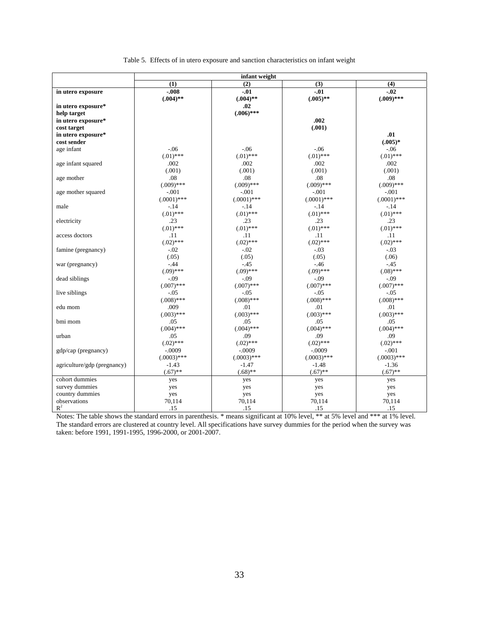|  |  | Table 5. Effects of in utero exposure and sanction characteristics on infant weight |  |  |  |  |
|--|--|-------------------------------------------------------------------------------------|--|--|--|--|
|  |  |                                                                                     |  |  |  |  |

|                             | infant weight |               |               |               |  |  |  |
|-----------------------------|---------------|---------------|---------------|---------------|--|--|--|
|                             | (1)           | (2)           | (3)           | (4)           |  |  |  |
| in utero exposure           | $-.008$       | $-.01$        | $-.01$        | $-.02$        |  |  |  |
|                             | $(.004)$ **   | $(.004)$ **   | $(.005)$ **   | $(.009)$ ***  |  |  |  |
| in utero exposure*          |               | .02           |               |               |  |  |  |
| help target                 |               | $(.006)$ ***  |               |               |  |  |  |
| in utero exposure*          |               |               | .002          |               |  |  |  |
| cost target                 |               |               | (.001)        |               |  |  |  |
| in utero exposure*          |               |               |               | .01           |  |  |  |
| cost sender                 |               |               |               | $(.005)*$     |  |  |  |
| age infant                  | $-.06$        | $-.06$        | $-.06$        | $-06$         |  |  |  |
|                             | $(.01)$ ***   | $(.01)$ ***   | $(.01)$ ***   | $(.01)$ ***   |  |  |  |
| age infant squared          | .002          | .002          | .002          | .002          |  |  |  |
|                             | (.001)        | (.001)        | (.001)        | (.001)        |  |  |  |
| age mother                  | .08           | .08           | .08           | .08           |  |  |  |
|                             | $(.009)$ ***  | $(.009)$ ***  | $(.009)$ ***  | $(.009)$ ***  |  |  |  |
| age mother squared          | $-.001$       | $-.001$       | $-.001$       | $-.001$       |  |  |  |
|                             | $(.0001)$ *** | $(.0001)$ *** | $(.0001)$ *** | $(.0001)$ *** |  |  |  |
| male                        | $-.14$        | $-.14$        | $-.14$        | $-.14$        |  |  |  |
|                             | $(.01)$ ***   | $(.01)$ ***   | $(.01)$ ***   | $(.01)$ ***   |  |  |  |
| electricity                 | .23           | .23           | .23           | .23           |  |  |  |
|                             | $(.01)$ ***   | $(.01)$ ***   | $(.01)$ ***   | $(.01)$ ***   |  |  |  |
| access doctors              | .11           | .11           | .11           | .11           |  |  |  |
|                             | $(.02)$ ***   | $(.02)$ ***   | $(.02)$ ***   | $(.02)$ ***   |  |  |  |
| famine (pregnancy)          | $-.02$        | $-.02$        | $-.03$        | $-.03$        |  |  |  |
|                             | (.05)         | (.05)         | (.05)         | (.06)         |  |  |  |
| war (pregnancy)             | $-.44$        | $-.45$        | $-46$         | $-45$         |  |  |  |
|                             | $(.09)$ ***   | $(.09)$ ***   | $(.09)$ ***   | $(.08)$ ***   |  |  |  |
| dead siblings               | $-.09$        | $-0.09$       | $-.09$        | $-.09$        |  |  |  |
|                             | $(.007)$ ***  | $(.007)$ ***  | $(.007)$ ***  | $(.007)$ ***  |  |  |  |
| live siblings               | $-.05$        | $-.05$        | $-.05$        | $-.05$        |  |  |  |
|                             | $(.008)$ ***  | $(.008)$ ***  | $(.008)$ ***  | $(.008)$ ***  |  |  |  |
| edu mom                     | .009          | .01           | .01           | .01           |  |  |  |
|                             | $(.003)$ ***  | $(.003)$ ***  | $(.003)$ ***  | $(.003)$ ***  |  |  |  |
| bmi mom                     | .05           | .05           | .05           | .05           |  |  |  |
|                             | $(.004)$ ***  | $(.004)$ ***  | $(.004)$ ***  | $(.004)$ ***  |  |  |  |
| urban                       | .05           | .09           | .09           | .09           |  |  |  |
|                             | $(.02)$ ***   | $(.02)$ ***   | $(.02)$ ***   | $(.02)$ ***   |  |  |  |
| gdp/cap (pregnancy)         | $-.0009$      | $-.0009$      | $-.0009$      | $-.001$       |  |  |  |
|                             | $(.0003)$ *** | $(.0003)$ *** | $(.0003)$ *** | $(.0003)$ *** |  |  |  |
| agriculture/gdp (pregnancy) | $-1.43$       | $-1.47$       | $-1.48$       | $-1.36$       |  |  |  |
|                             | $(.67)$ **    | $(.68)$ **    | $(.67)$ **    | $(.67)$ **    |  |  |  |
| cohort dummies              | yes           | yes           | yes           | yes           |  |  |  |
| survey dummies              | yes           | yes           | yes           | yes           |  |  |  |
| country dummies             | yes           | yes           | yes           | yes           |  |  |  |
| observations                | 70,114        | 70,114        | 70,114        | 70,114        |  |  |  |
| $R^2$                       | .15           | .15           | .15           | .15           |  |  |  |

Notes: The table shows the standard errors in parenthesis. \* means significant at 10% level, \*\* at 5% level and \*\*\* at 1% level. The standard errors are clustered at country level. All specifications have survey dummies for the period when the survey was taken: before 1991, 1991-1995, 1996-2000, or 2001-2007.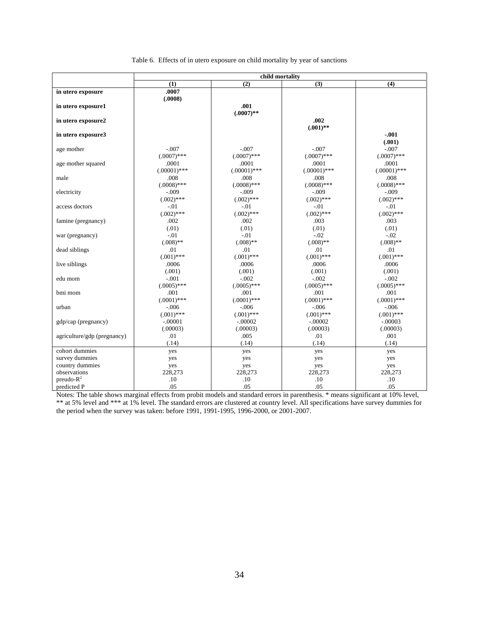|  | Table 6. Effects of in utero exposure on child mortality by year of sanctions |  |  |
|--|-------------------------------------------------------------------------------|--|--|
|  |                                                                               |  |  |

|                             | child mortality |                |                |                |  |  |
|-----------------------------|-----------------|----------------|----------------|----------------|--|--|
|                             | (1)             | (2)            | (3)            | (4)            |  |  |
| in utero exposure           | .0007           |                |                |                |  |  |
|                             | (.0008)         |                |                |                |  |  |
| in utero exposure1          |                 | .001           |                |                |  |  |
|                             |                 | $(.0007)$ **   |                |                |  |  |
| in utero exposure2          |                 |                | .002           |                |  |  |
|                             |                 |                | $(.001)$ **    |                |  |  |
| in utero exposure3          |                 |                |                | $-.001$        |  |  |
|                             |                 |                |                | (.001)         |  |  |
| age mother                  | $-.007$         | $-.007$        | $-.007$        | $-.007$        |  |  |
|                             | $(.0007)$ ***   | $(.0007)$ ***  | $(.0007)$ ***  | $(.0007)$ ***  |  |  |
| age mother squared          | .0001           | .0001          | .0001          | .0001          |  |  |
|                             | $(.00001)$ ***  | $(.00001)$ *** | $(.00001)$ *** | $(.00001)$ *** |  |  |
| male                        | .008            | .008           | .008           | .008           |  |  |
|                             | $(.0008)$ ***   | $(.0008)$ ***  | $(.0008)$ ***  | $(.0008)$ ***  |  |  |
| electricity                 | $-.009$         | $-.009$        | $-.009$        | $-.009$        |  |  |
|                             | $(.002)$ ***    | $(.002)$ ***   | $(.002)$ ***   | $(.002)$ ***   |  |  |
| access doctors              | $-.01$          | $-.01$         | $-.01$         | $-.01$         |  |  |
|                             | $(.002)$ ***    | $(.002)$ ***   | $(.002)$ ***   | $(.002)$ ***   |  |  |
| famine (pregnancy)          | .002            | .002           | .003           | .003           |  |  |
|                             | (.01)           | (.01)          | (.01)          | (.01)          |  |  |
| war (pregnancy)             | $-.01$          | $-.01$         | $-.02$         | $-.02$         |  |  |
|                             | $(.008)$ **     | $(.008)$ **    | $(.008)$ **    | $(.008)$ **    |  |  |
| dead siblings               | .01             | .01            | .01            | .01            |  |  |
|                             | $(.001)$ ***    | $(.001)$ ***   | $(.001)$ ***   | $(.001)$ ***   |  |  |
| live siblings               | .0006           | .0006          | .0006          | .0006          |  |  |
|                             | (.001)          | (.001)         | (.001)         | (.001)         |  |  |
| edu mom                     | $-.001$         | $-.002$        | $-.002$        | $-.002$        |  |  |
|                             | $(.0005)$ ***   | $(.0005)$ ***  | $(.0005)$ ***  | $(.0005)$ ***  |  |  |
| bmi mom                     | .001            | .001           | .001           | .001           |  |  |
|                             | $(.0001)$ ***   | $(.0001)$ ***  | $(.0001)$ ***  | $(.0001)$ ***  |  |  |
| urban                       | $-.006$         | $-.006$        | $-.006$        | $-.006$        |  |  |
|                             | $(.001)$ ***    | $(.001)$ ***   | $(.001)$ ***   | $(.001)$ ***   |  |  |
| gdp/cap (pregnancy)         | $-.00001$       | $-.00002$      | $-.00002$      | $-.00003$      |  |  |
|                             | (.00003)        | (.00003)       | (.00003)       | (.00003)       |  |  |
| agriculture/gdp (pregnancy) | .01             | .005           | .01            | .001           |  |  |
|                             | (.14)           | (.14)          | (.14)          | (.14)          |  |  |
| cohort dummies              | yes             | yes            | yes            | yes            |  |  |
| survey dummies              | yes             | yes            | yes            | yes            |  |  |
| country dummies             | yes             | yes            | yes            | yes            |  |  |
| observations                | 228,273         | 228,273        | 228,273        | 228,273        |  |  |
| $preudo-R2$                 | .10             | .10            | .10            | .10            |  |  |
| predicted P                 | .05             | .05            | .05            | .05            |  |  |

Notes: The table shows marginal effects from probit models and standard errors in parenthesis. \* means significant at 10% level, \*\* at 5% level and \*\*\* at 1% level. The standard errors are clustered at country level. All specifications have survey dummies for the period when the survey was taken: before 1991, 1991-1995, 1996-2000, or 2001-2007.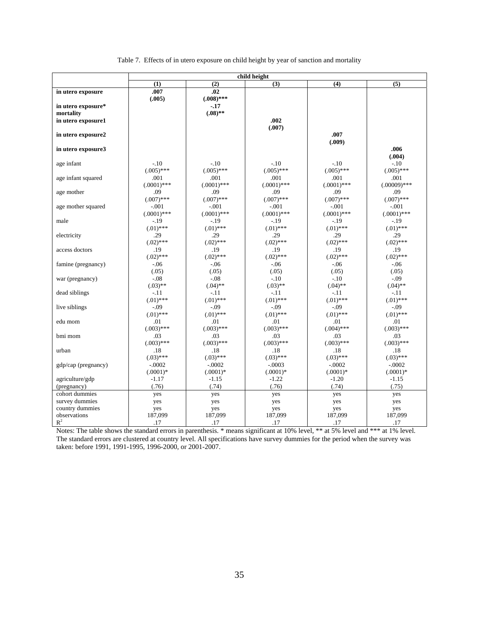| Table 7. Effects of in utero exposure on child height by year of sanction and mortality |  |  |
|-----------------------------------------------------------------------------------------|--|--|
|                                                                                         |  |  |

|                     | child height  |               |               |               |                |  |  |
|---------------------|---------------|---------------|---------------|---------------|----------------|--|--|
|                     | (1)           | (2)           | (3)           | (4)           | (5)            |  |  |
| in utero exposure   | .007          | .02           |               |               |                |  |  |
|                     | (.005)        | $(.008)$ ***  |               |               |                |  |  |
| in utero exposure*  |               | $-17$         |               |               |                |  |  |
| mortality           |               | $(.08)$ **    |               |               |                |  |  |
| in utero exposure1  |               |               | .002          |               |                |  |  |
|                     |               |               | (.007)        |               |                |  |  |
| in utero exposure2  |               |               |               | .007          |                |  |  |
|                     |               |               |               | (.009)        |                |  |  |
| in utero exposure3  |               |               |               |               | .006           |  |  |
|                     |               |               |               |               | (.004)         |  |  |
| age infant          | $-.10$        | $-.10$        | $-.10$        | $-.10$        | $-.10$         |  |  |
|                     | $(.005)$ ***  | $(.005)$ ***  | $(.005)$ ***  | $(.005)$ ***  | $(.005)$ ***   |  |  |
| age infant squared  | .001          | .001          | .001          | .001          | .001           |  |  |
|                     | $(.0001)$ *** | $(.0001)$ *** | $(.0001)$ *** | $(.0001)$ *** | $(.00009)$ *** |  |  |
| age mother          | .09           | .09           | .09           | .09           | .09            |  |  |
|                     | $(.007)$ ***  | $(.007)$ ***  | $(.007)$ ***  | $(.007)$ ***  | $(.007)$ ***   |  |  |
| age mother squared  | $-.001$       | $-.001$       | $-.001$       | $-.001$       | $-.001$        |  |  |
|                     | $(.0001)$ *** | $(.0001)$ *** | $(.0001)$ *** | $(.0001)$ *** | $(.0001)$ ***  |  |  |
| male                | $-19$         | $-.19$        | $-.19$        | $-19$         | $-.19$         |  |  |
|                     | $(.01)$ ***   | $(.01)$ ***   | $(.01)$ ***   | $(.01)$ ***   | $(.01)$ ***    |  |  |
| electricity         | .29           | .29           | .29           | .29           | .29            |  |  |
|                     | $(.02)$ ***   | $(.02)$ ***   | $(.02)$ ***   | $(.02)$ ***   | $(.02)$ ***    |  |  |
| access doctors      | .19           | .19           | .19           | .19           | .19            |  |  |
|                     | $(.02)$ ***   | $(.02)$ ***   | $(.02)$ ***   | $(.02)$ ***   | $(.02)$ ***    |  |  |
| famine (pregnancy)  | $-0.06$       | $-0.06$       | $-.06$        | $-0.06$       | $-.06$         |  |  |
|                     | (.05)         | (.05)         | (.05)         | (.05)         | (.05)          |  |  |
| war (pregnancy)     | $-.08$        | $-.08$        | $-.10$        | $-.10$        | $-.09$         |  |  |
|                     | $(.03)$ **    | $(.04)$ **    | $(.03)$ **    | $(.04)$ **    | $(.04)$ **     |  |  |
| dead siblings       | $-.11$        | $-.11$        | $-.11$        | $-.11$        | $-.11$         |  |  |
|                     | $(.01)$ ***   | $(.01)$ ***   | $(.01)$ ***   | $(.01)$ ***   | $(.01)$ ***    |  |  |
| live siblings       | $-.09$        | $-.09$        | $-.09$        | $-0.09$       | $-.09$         |  |  |
|                     | $(.01)$ ***   | $(.01)$ ***   | $(.01)$ ***   | $(.01)$ ***   | $(.01)$ ***    |  |  |
| edu mom             | .01           | .01           | .01           | .01           | .01            |  |  |
|                     | $(.003)$ ***  | $(.003)$ ***  | $(.003)$ ***  | $(.004)$ ***  | $(.003)$ ***   |  |  |
| bmi mom             | .03           | .03           | .03           | .03           | .03            |  |  |
|                     | $(.003)$ ***  | $(.003)$ ***  | $(.003)$ ***  | $(.003)$ ***  | $(.003)$ ***   |  |  |
| urban               | .18           | .18           | .18           | .18           | .18            |  |  |
|                     | $(.03)$ ***   | $(.03)$ ***   | $(.03)$ ***   | $(.03)$ ***   | $(.03)$ ***    |  |  |
| gdp/cap (pregnancy) | $-.0002$      | $-.0002$      | $-.0003$      | $-.0002$      | $-.0002$       |  |  |
|                     | $(.0001)$ *   | $(.0001)*$    | $(.0001)$ *   | $(.0001)*$    | $(.0001)$ *    |  |  |
| agriculture/gdp     | $-1.17$       | $-1.15$       | $-1.22$       | $-1.20$       | $-1.15$        |  |  |
| (pregnancy)         | (.76)         | (.74)         | (.76)         | (.74)         | (.75)          |  |  |
| cohort dummies      | yes           | yes           | yes           | yes           | yes            |  |  |
| survey dummies      | yes           | yes           | yes           | yes           | yes            |  |  |
| country dummies     | yes           | yes           | yes           | yes           | yes            |  |  |
| observations        | 187,099       | 187,099       | 187,099       | 187,099       | 187,099        |  |  |
| $R^2$               | .17           | .17           | .17           | .17           | .17            |  |  |

Notes: The table shows the standard errors in parenthesis. \* means significant at 10% level, \*\* at 5% level and \*\*\* at 1% level. The standard errors are clustered at country level. All specifications have survey dummies for the period when the survey was taken: before 1991, 1991-1995, 1996-2000, or 2001-2007.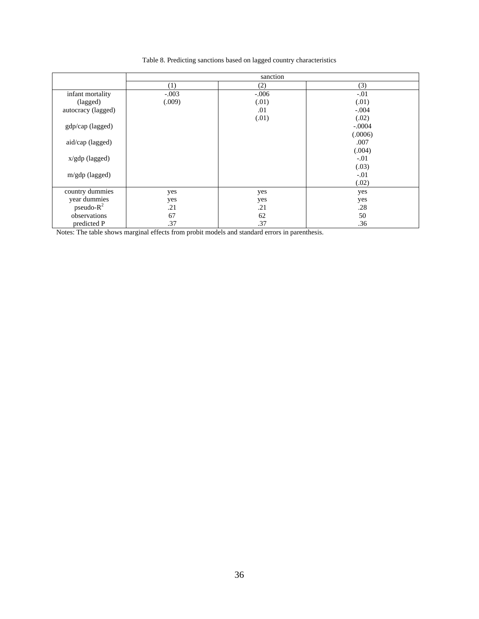Table 8. Predicting sanctions based on lagged country characteristics

|                    | sanction |         |          |  |  |  |
|--------------------|----------|---------|----------|--|--|--|
|                    | (1)      | (2)     | (3)      |  |  |  |
| infant mortality   | $-.003$  | $-.006$ | $-.01$   |  |  |  |
| (lagged)           | (.009)   | (.01)   | (.01)    |  |  |  |
| autocracy (lagged) |          | .01     | $-.004$  |  |  |  |
|                    |          | (.01)   | (.02)    |  |  |  |
| gdp/cap (lagged)   |          |         | $-.0004$ |  |  |  |
|                    |          |         | (.0006)  |  |  |  |
| aid/cap (lagged)   |          |         | .007     |  |  |  |
|                    |          |         | (.004)   |  |  |  |
| $x/gdp$ (lagged)   |          |         | $-.01$   |  |  |  |
|                    |          |         | (.03)    |  |  |  |
| $m/gdp$ (lagged)   |          |         | $-.01$   |  |  |  |
|                    |          |         | (.02)    |  |  |  |
| country dummies    | yes      | yes     | yes      |  |  |  |
| year dummies       | yes      | yes     | yes      |  |  |  |
| pseudo- $R^2$      | .21      | .21     | .28      |  |  |  |
| observations       | 67       | 62      | 50       |  |  |  |
| predicted P        | .37      | .37     | .36      |  |  |  |

Notes: The table shows marginal effects from probit models and standard errors in parenthesis.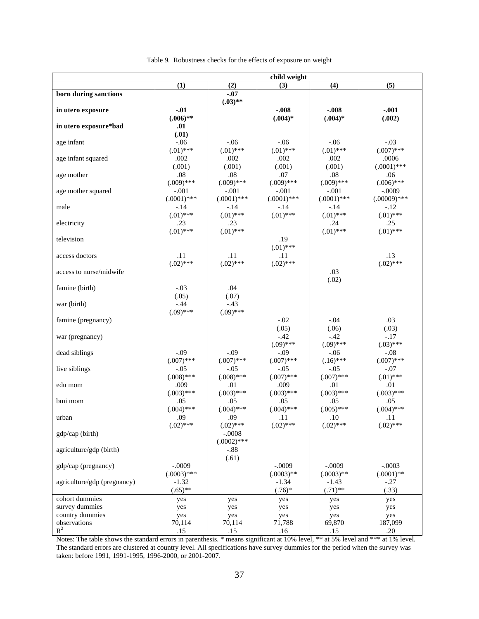| (1)<br>(4)<br>(5)<br>(2)<br>(3)<br>$-.07$<br>born during sanctions<br>$(.03)$ **<br>$-.01$<br>$-.008$<br>$-.008$<br>$-.001$<br>in utero exposure<br>$(.006)$ **<br>$(.004)$ *<br>(.002)<br>$(.004)*$ |  |
|------------------------------------------------------------------------------------------------------------------------------------------------------------------------------------------------------|--|
|                                                                                                                                                                                                      |  |
|                                                                                                                                                                                                      |  |
|                                                                                                                                                                                                      |  |
|                                                                                                                                                                                                      |  |
|                                                                                                                                                                                                      |  |
| in utero exposure*bad<br>.01                                                                                                                                                                         |  |
| (.01)                                                                                                                                                                                                |  |
| $-.06$<br>$-.03$<br>age infant<br>$-.06$<br>$-.06$<br>$-0.06$                                                                                                                                        |  |
| $(.01)$ ***<br>$(.01)$ ***<br>$(.01)$ ***<br>$(.01)$ ***<br>$(.007)$ ***                                                                                                                             |  |
| age infant squared<br>.002<br>.002<br>.002<br>.002<br>.0006<br>(.001)                                                                                                                                |  |
| $(.0001)$ ***<br>(.001)<br>(.001)<br>(.001)<br>.08<br>.08<br>.07<br>.08                                                                                                                              |  |
| age mother<br>.06<br>$(.009)$ ***<br>$(.009)$ ***<br>$(.009)$ ***<br>$(.009)$ ***<br>$(.006)$ ***                                                                                                    |  |
| age mother squared<br>$-.001$<br>$-.001$<br>$-.001$<br>$-.0009$<br>$-.001$                                                                                                                           |  |
| $(.0001)$ ***<br>$(.0001)$ ***<br>$(.0001)$ ***<br>$(.0001)$ ***<br>$(.00009)$ ***                                                                                                                   |  |
| male<br>$-.14$<br>$-.12$<br>$-.14$<br>$-.14$<br>$-.14$                                                                                                                                               |  |
| $(.01)$ ***<br>$(.01)$ ***<br>$(.01)$ ***<br>$(.01)$ ***<br>$(.01)$ ***                                                                                                                              |  |
| electricity<br>.23<br>.23<br>.25<br>.24                                                                                                                                                              |  |
| $(.01)$ ***<br>$(.01)$ ***<br>$(.01)$ ***<br>$(.01)$ ***                                                                                                                                             |  |
| television<br>.19                                                                                                                                                                                    |  |
| $(.01)$ ***                                                                                                                                                                                          |  |
| .11<br>.11<br>.13<br>access doctors<br>.11                                                                                                                                                           |  |
| $(.02)$ ***<br>$(.02)$ ***<br>$(.02)$ ***<br>$(.02)$ ***                                                                                                                                             |  |
| .03<br>access to nurse/midwife                                                                                                                                                                       |  |
| (.02)                                                                                                                                                                                                |  |
| $-.03$<br>famine (birth)<br>.04                                                                                                                                                                      |  |
| (.05)<br>(.07)                                                                                                                                                                                       |  |
| $-.44$<br>$-.43$<br>war (birth)                                                                                                                                                                      |  |
| $(.09)$ ***<br>$(.09)$ ***                                                                                                                                                                           |  |
| $-.02$<br>.03<br>$-.04$<br>famine (pregnancy)                                                                                                                                                        |  |
| (.05)<br>(.03)<br>(.06)                                                                                                                                                                              |  |
| $-.42$<br>$-.42$<br>$-.17$<br>war (pregnancy)                                                                                                                                                        |  |
| $(.09)$ ***<br>$(.09)$ ***<br>$(.03)$ ***<br>$-.09$<br>$-.09$<br>$-.06$                                                                                                                              |  |
| dead siblings<br>$-.09$<br>$-.08$<br>$(.007)$ ***<br>$(.007)$ ***<br>$(.007)$ ***<br>$(.16)$ ***<br>$(.007)$ ***                                                                                     |  |
| live siblings<br>$-.05$<br>$-.07$<br>$-.05$<br>$-.05$<br>$-.05$                                                                                                                                      |  |
| $(.01)$ ***<br>$(.008)$ ***<br>$(.008)$ ***<br>$(.007)$ ***<br>$(.007)$ ***                                                                                                                          |  |
| .009<br>.01<br>.009<br>.01<br>edu mom<br>.01                                                                                                                                                         |  |
| $(.003)$ ***<br>$(.003)$ ***<br>$(.003)$ ***<br>$(.003)$ ***<br>$(.003)$ ***                                                                                                                         |  |
| bmi mom<br>.05<br>.05<br>.05<br>.05<br>.05                                                                                                                                                           |  |
| $(.004)$ ***<br>$(.004)$ ***<br>$(.004)$ ***<br>$(.005)$ ***<br>$(.004)$ ***                                                                                                                         |  |
| .09<br>.09<br>urban<br>.11<br>.10<br>.11                                                                                                                                                             |  |
| $(0.02)$ ***<br>$(.02)$ ***<br>$(.02)$ ***<br>$(.02)$ ***<br>$(0.02)$ ***                                                                                                                            |  |
| gdp/cap (birth)<br>$-.0008$                                                                                                                                                                          |  |
| $(.0002)$ ***                                                                                                                                                                                        |  |
| agriculture/gdp (birth)<br>$-.88$                                                                                                                                                                    |  |
| (.61)                                                                                                                                                                                                |  |
| $-.0009$<br>$-.0009$<br>$-.0003$<br>gdp/cap (pregnancy)<br>$-.0009$                                                                                                                                  |  |
| $(.0003)$ ***<br>$(.0003)$ **<br>$(.0003)$ **<br>$(.0001)$ **                                                                                                                                        |  |
| agriculture/gdp (pregnancy)<br>$-1.32$<br>$-1.34$<br>$-1.43$<br>$-.27$                                                                                                                               |  |
| $(.65)$ **<br>(.33)<br>$(.76)*$<br>$(.71)$ **<br>cohort dummies                                                                                                                                      |  |
| yes<br>yes<br>yes<br>yes<br>yes<br>survey dummies                                                                                                                                                    |  |
| yes<br>yes<br>yes<br>yes<br>yes<br>country dummies                                                                                                                                                   |  |
| yes<br>yes<br>yes<br>yes<br>yes<br>observations<br>70,114<br>70,114<br>71,788<br>187,099<br>69,870                                                                                                   |  |
| $R^2$<br>.15<br>.15<br>.20<br>.16<br>.15                                                                                                                                                             |  |

| Table 9. Robustness checks for the effects of exposure on weight |  |  |  |  |  |  |  |  |
|------------------------------------------------------------------|--|--|--|--|--|--|--|--|
|------------------------------------------------------------------|--|--|--|--|--|--|--|--|

Notes: The table shows the standard errors in parenthesis. \* means significant at 10% level, \*\* at 5% level and \*\*\* at 1% level. The standard errors are clustered at country level. All specifications have survey dummies for the period when the survey was taken: before 1991, 1991-1995, 1996-2000, or 2001-2007.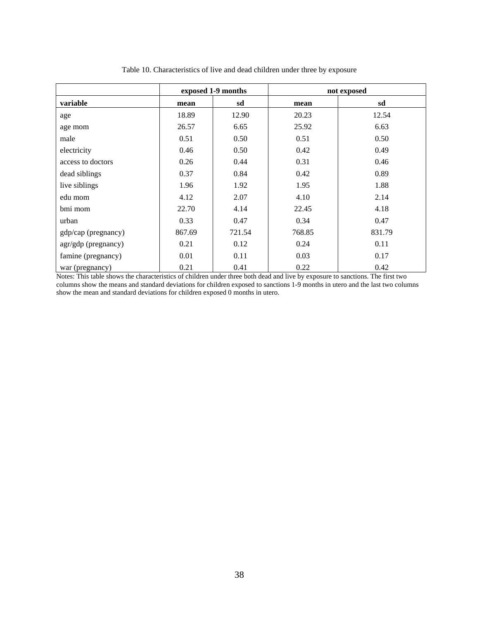|                     | exposed 1-9 months |        | not exposed |        |  |
|---------------------|--------------------|--------|-------------|--------|--|
| variable            | mean               | sd     | mean        | sd     |  |
| age                 | 18.89              | 12.90  | 20.23       | 12.54  |  |
| age mom             | 26.57              | 6.65   | 25.92       | 6.63   |  |
| male                | 0.51               | 0.50   | 0.51        | 0.50   |  |
| electricity         | 0.46               | 0.50   | 0.42        | 0.49   |  |
| access to doctors   | 0.26               | 0.44   | 0.31        | 0.46   |  |
| dead siblings       | 0.37               | 0.84   | 0.42        | 0.89   |  |
| live siblings       | 1.96               | 1.92   | 1.95        | 1.88   |  |
| edu mom             | 4.12               | 2.07   | 4.10        | 2.14   |  |
| bmi mom             | 22.70              | 4.14   | 22.45       | 4.18   |  |
| urban               | 0.33               | 0.47   | 0.34        | 0.47   |  |
| gdp/cap (pregnancy) | 867.69             | 721.54 | 768.85      | 831.79 |  |
| agr/gdp (pregnancy) | 0.21               | 0.12   | 0.24        | 0.11   |  |
| famine (pregnancy)  | 0.01               | 0.11   | 0.03        | 0.17   |  |
| war (pregnancy)     | 0.21               | 0.41   | 0.22        | 0.42   |  |

Table 10. Characteristics of live and dead children under three by exposure

Notes: This table shows the characteristics of children under three both dead and live by exposure to sanctions. The first two columns show the means and standard deviations for children exposed to sanctions 1-9 months in utero and the last two columns show the mean and standard deviations for children exposed 0 months in utero.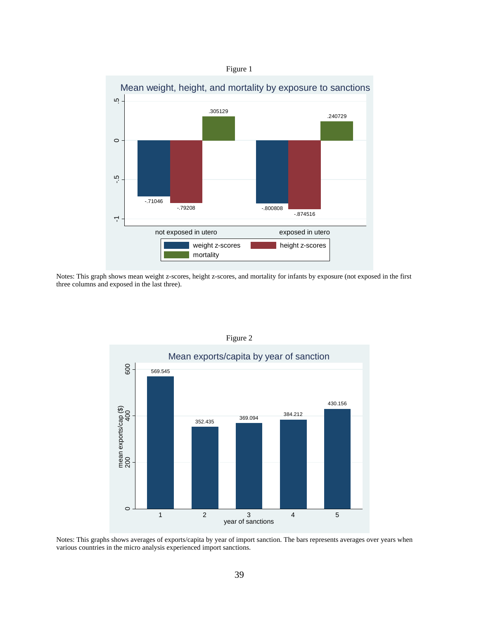

Notes: This graph shows mean weight z-scores, height z-scores, and mortality for infants by exposure (not exposed in the first three columns and exposed in the last three).



Figure 2

Notes: This graphs shows averages of exports/capita by year of import sanction. The bars represents averages over years when various countries in the micro analysis experienced import sanctions.